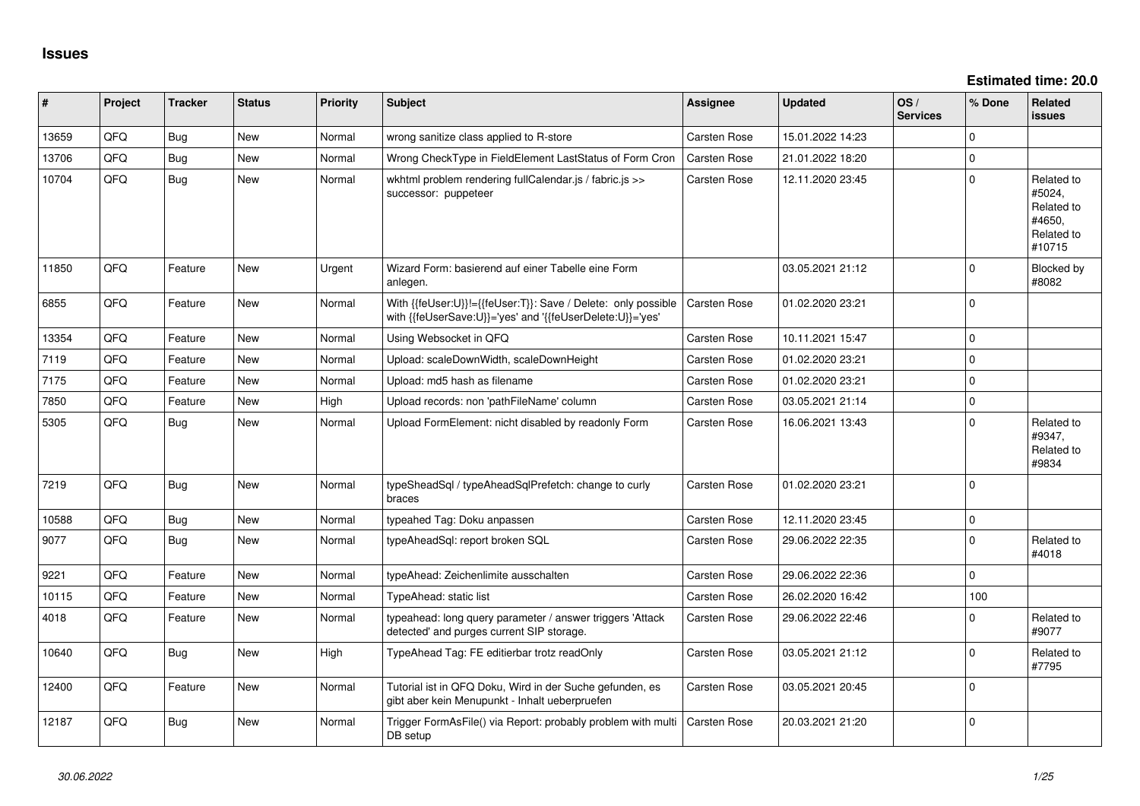**Estimated time: 20.0**

| ∦     | Project | <b>Tracker</b> | <b>Status</b> | <b>Priority</b> | <b>Subject</b>                                                                                                             | <b>Assignee</b> | <b>Updated</b>   | OS/<br><b>Services</b> | % Done         | Related<br><b>issues</b>                                             |
|-------|---------|----------------|---------------|-----------------|----------------------------------------------------------------------------------------------------------------------------|-----------------|------------------|------------------------|----------------|----------------------------------------------------------------------|
| 13659 | QFQ     | Bug            | New           | Normal          | wrong sanitize class applied to R-store                                                                                    | Carsten Rose    | 15.01.2022 14:23 |                        | $\mathbf 0$    |                                                                      |
| 13706 | QFQ     | Bug            | <b>New</b>    | Normal          | Wrong CheckType in FieldElement LastStatus of Form Cron                                                                    | Carsten Rose    | 21.01.2022 18:20 |                        | $\pmb{0}$      |                                                                      |
| 10704 | QFQ     | <b>Bug</b>     | <b>New</b>    | Normal          | wkhtml problem rendering fullCalendar.js / fabric.js >><br>successor: puppeteer                                            | Carsten Rose    | 12.11.2020 23:45 |                        | $\Omega$       | Related to<br>#5024,<br>Related to<br>#4650,<br>Related to<br>#10715 |
| 11850 | QFQ     | Feature        | <b>New</b>    | Urgent          | Wizard Form: basierend auf einer Tabelle eine Form<br>anlegen.                                                             |                 | 03.05.2021 21:12 |                        | $\Omega$       | Blocked by<br>#8082                                                  |
| 6855  | QFQ     | Feature        | <b>New</b>    | Normal          | With {{feUser:U}}!={{feUser:T}}: Save / Delete: only possible<br>with {{feUserSave:U}}='yes' and '{{feUserDelete:U}}='yes' | Carsten Rose    | 01.02.2020 23:21 |                        | $\Omega$       |                                                                      |
| 13354 | QFQ     | Feature        | <b>New</b>    | Normal          | Using Websocket in QFQ                                                                                                     | Carsten Rose    | 10.11.2021 15:47 |                        | $\Omega$       |                                                                      |
| 7119  | QFQ     | Feature        | <b>New</b>    | Normal          | Upload: scaleDownWidth, scaleDownHeight                                                                                    | Carsten Rose    | 01.02.2020 23:21 |                        | $\mathbf 0$    |                                                                      |
| 7175  | QFQ     | Feature        | <b>New</b>    | Normal          | Upload: md5 hash as filename                                                                                               | Carsten Rose    | 01.02.2020 23:21 |                        | $\mathbf 0$    |                                                                      |
| 7850  | QFQ     | Feature        | <b>New</b>    | High            | Upload records: non 'pathFileName' column                                                                                  | Carsten Rose    | 03.05.2021 21:14 |                        | $\pmb{0}$      |                                                                      |
| 5305  | QFQ     | Bug            | <b>New</b>    | Normal          | Upload FormElement: nicht disabled by readonly Form                                                                        | Carsten Rose    | 16.06.2021 13:43 |                        | $\Omega$       | Related to<br>#9347,<br>Related to<br>#9834                          |
| 7219  | QFQ     | <b>Bug</b>     | <b>New</b>    | Normal          | typeSheadSql / typeAheadSqlPrefetch: change to curly<br>braces                                                             | Carsten Rose    | 01.02.2020 23:21 |                        | $\overline{0}$ |                                                                      |
| 10588 | QFQ     | Bug            | New           | Normal          | typeahed Tag: Doku anpassen                                                                                                | Carsten Rose    | 12.11.2020 23:45 |                        | $\mathbf 0$    |                                                                      |
| 9077  | QFQ     | <b>Bug</b>     | <b>New</b>    | Normal          | typeAheadSgl: report broken SQL                                                                                            | Carsten Rose    | 29.06.2022 22:35 |                        | $\mathbf 0$    | Related to<br>#4018                                                  |
| 9221  | QFQ     | Feature        | <b>New</b>    | Normal          | typeAhead: Zeichenlimite ausschalten                                                                                       | Carsten Rose    | 29.06.2022 22:36 |                        | $\mathbf 0$    |                                                                      |
| 10115 | QFQ     | Feature        | <b>New</b>    | Normal          | TypeAhead: static list                                                                                                     | Carsten Rose    | 26.02.2020 16:42 |                        | 100            |                                                                      |
| 4018  | QFQ     | Feature        | New           | Normal          | typeahead: long query parameter / answer triggers 'Attack<br>detected' and purges current SIP storage.                     | Carsten Rose    | 29.06.2022 22:46 |                        | $\Omega$       | Related to<br>#9077                                                  |
| 10640 | QFQ     | Bug            | <b>New</b>    | High            | TypeAhead Tag: FE editierbar trotz readOnly                                                                                | Carsten Rose    | 03.05.2021 21:12 |                        | $\mathbf 0$    | Related to<br>#7795                                                  |
| 12400 | QFQ     | Feature        | New           | Normal          | Tutorial ist in QFQ Doku, Wird in der Suche gefunden, es<br>gibt aber kein Menupunkt - Inhalt ueberpruefen                 | Carsten Rose    | 03.05.2021 20:45 |                        | $\Omega$       |                                                                      |
| 12187 | QFQ     | Bug            | New           | Normal          | Trigger FormAsFile() via Report: probably problem with multi<br>DB setup                                                   | Carsten Rose    | 20.03.2021 21:20 |                        | $\mathbf 0$    |                                                                      |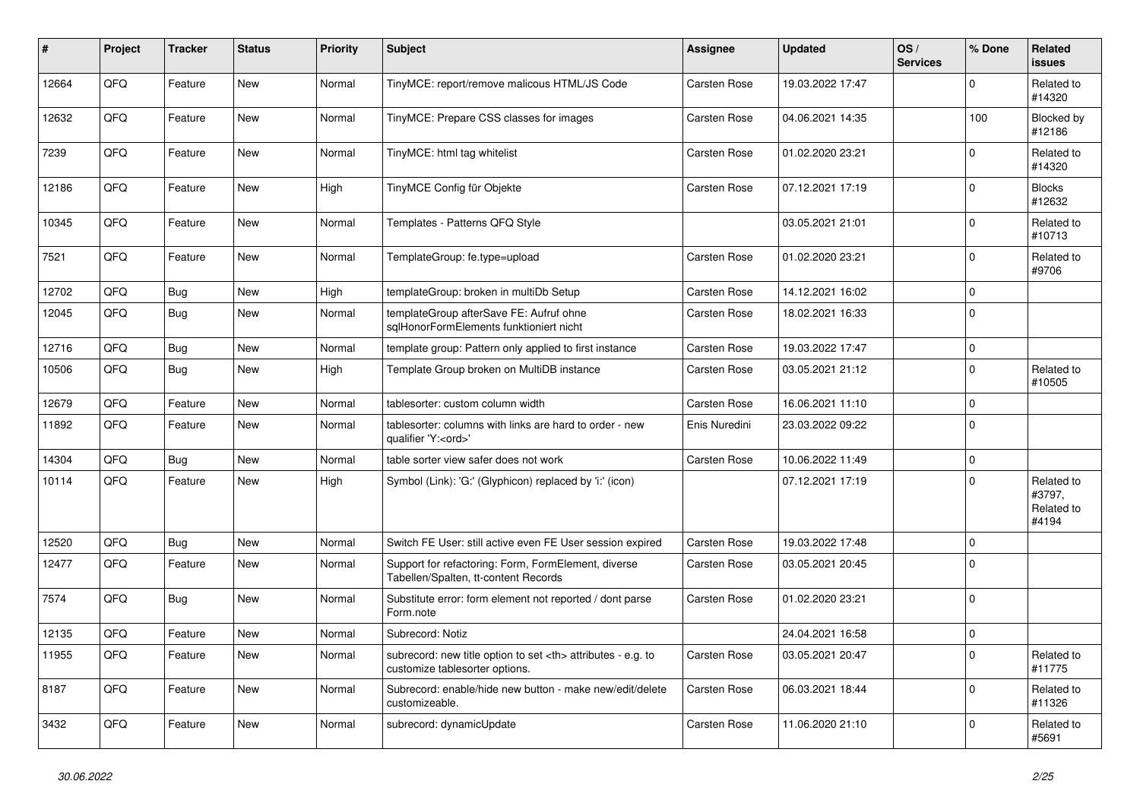| #     | Project | <b>Tracker</b> | <b>Status</b> | <b>Priority</b> | <b>Subject</b>                                                                                       | Assignee                                               | <b>Updated</b>   | OS/<br><b>Services</b> | % Done      | Related<br><b>issues</b>                    |                      |
|-------|---------|----------------|---------------|-----------------|------------------------------------------------------------------------------------------------------|--------------------------------------------------------|------------------|------------------------|-------------|---------------------------------------------|----------------------|
| 12664 | QFQ     | Feature        | <b>New</b>    | Normal          | TinyMCE: report/remove malicous HTML/JS Code                                                         | Carsten Rose                                           | 19.03.2022 17:47 |                        | $\Omega$    | Related to<br>#14320                        |                      |
| 12632 | QFQ     | Feature        | <b>New</b>    | Normal          | TinyMCE: Prepare CSS classes for images                                                              | Carsten Rose                                           | 04.06.2021 14:35 |                        | 100         | Blocked by<br>#12186                        |                      |
| 7239  | QFQ     | Feature        | <b>New</b>    | Normal          | TinyMCE: html tag whitelist                                                                          | Carsten Rose                                           | 01.02.2020 23:21 |                        | $\mathbf 0$ | Related to<br>#14320                        |                      |
| 12186 | QFQ     | Feature        | <b>New</b>    | High            | TinyMCE Config für Objekte                                                                           | Carsten Rose                                           | 07.12.2021 17:19 |                        | $\mathbf 0$ | <b>Blocks</b><br>#12632                     |                      |
| 10345 | QFQ     | Feature        | <b>New</b>    | Normal          | Templates - Patterns QFQ Style                                                                       |                                                        | 03.05.2021 21:01 |                        | 0           | Related to<br>#10713                        |                      |
| 7521  | QFQ     | Feature        | New           | Normal          | TemplateGroup: fe.type=upload                                                                        | Carsten Rose                                           | 01.02.2020 23:21 |                        | $\mathbf 0$ | Related to<br>#9706                         |                      |
| 12702 | QFQ     | Bug            | <b>New</b>    | High            | templateGroup: broken in multiDb Setup                                                               | Carsten Rose                                           | 14.12.2021 16:02 |                        | $\pmb{0}$   |                                             |                      |
| 12045 | QFQ     | Bug            | <b>New</b>    | Normal          | templateGroup afterSave FE: Aufruf ohne<br>salHonorFormElements funktioniert nicht                   | Carsten Rose                                           | 18.02.2021 16:33 |                        | $\Omega$    |                                             |                      |
| 12716 | QFQ     | Bug            | <b>New</b>    | Normal          | template group: Pattern only applied to first instance                                               | Carsten Rose                                           | 19.03.2022 17:47 |                        | $\mathbf 0$ |                                             |                      |
| 10506 | QFQ     | Bug            | New           | High            | Template Group broken on MultiDB instance                                                            | Carsten Rose                                           | 03.05.2021 21:12 |                        | $\pmb{0}$   | Related to<br>#10505                        |                      |
| 12679 | QFQ     | Feature        | <b>New</b>    | Normal          | tablesorter: custom column width                                                                     | Carsten Rose                                           | 16.06.2021 11:10 |                        | $\pmb{0}$   |                                             |                      |
| 11892 | QFQ     | Feature        | <b>New</b>    | Normal          | tablesorter: columns with links are hard to order - new<br>qualifier 'Y: <ord>'</ord>                | Enis Nuredini                                          | 23.03.2022 09:22 |                        | $\mathbf 0$ |                                             |                      |
| 14304 | QFQ     | <b>Bug</b>     | <b>New</b>    | Normal          | table sorter view safer does not work                                                                | Carsten Rose                                           | 10.06.2022 11:49 |                        | $\pmb{0}$   |                                             |                      |
| 10114 | QFQ     | Feature        | <b>New</b>    | High            | Symbol (Link): 'G:' (Glyphicon) replaced by 'i:' (icon)                                              |                                                        | 07.12.2021 17:19 |                        | $\mathbf 0$ | Related to<br>#3797,<br>Related to<br>#4194 |                      |
| 12520 | QFQ     | <b>Bug</b>     | <b>New</b>    | Normal          | Switch FE User: still active even FE User session expired                                            | Carsten Rose                                           | 19.03.2022 17:48 |                        | $\mathbf 0$ |                                             |                      |
| 12477 | QFQ     | Feature        | New           | Normal          | Support for refactoring: Form, FormElement, diverse<br>Tabellen/Spalten, tt-content Records          | Carsten Rose                                           | 03.05.2021 20:45 |                        | $\mathbf 0$ |                                             |                      |
| 7574  | QFQ     | <b>Bug</b>     | <b>New</b>    | Normal          | Substitute error: form element not reported / dont parse<br>Form.note                                | Carsten Rose                                           | 01.02.2020 23:21 |                        | $\mathbf 0$ |                                             |                      |
| 12135 | QFQ     | Feature        | <b>New</b>    | Normal          | Subrecord: Notiz                                                                                     |                                                        | 24.04.2021 16:58 |                        | $\pmb{0}$   |                                             |                      |
| 11955 | QFQ     | Feature        | New           | Normal          | subrecord: new title option to set <th> attributes - e.g. to<br/>customize tablesorter options.</th> | attributes - e.g. to<br>customize tablesorter options. | Carsten Rose     | 03.05.2021 20:47       |             | $\mathbf 0$                                 | Related to<br>#11775 |
| 8187  | QFQ     | Feature        | New           | Normal          | Subrecord: enable/hide new button - make new/edit/delete<br>customizeable.                           | Carsten Rose                                           | 06.03.2021 18:44 |                        | $\Omega$    | Related to<br>#11326                        |                      |
| 3432  | QFQ     | Feature        | <b>New</b>    | Normal          | subrecord: dynamicUpdate                                                                             | Carsten Rose                                           | 11.06.2020 21:10 |                        | 0           | Related to<br>#5691                         |                      |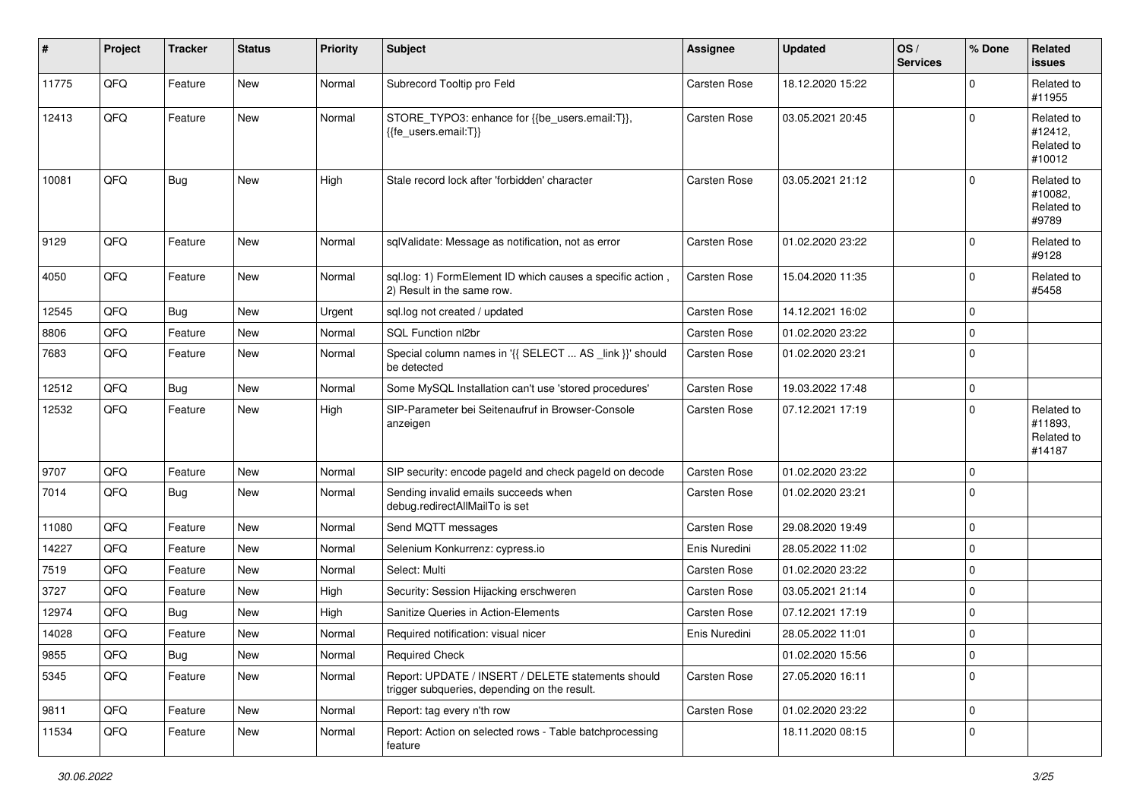| $\vert$ # | Project | <b>Tracker</b> | <b>Status</b> | <b>Priority</b> | <b>Subject</b>                                                                                     | <b>Assignee</b> | <b>Updated</b>   | OS/<br><b>Services</b> | % Done   | Related<br><b>issues</b>                      |
|-----------|---------|----------------|---------------|-----------------|----------------------------------------------------------------------------------------------------|-----------------|------------------|------------------------|----------|-----------------------------------------------|
| 11775     | QFQ     | Feature        | <b>New</b>    | Normal          | Subrecord Tooltip pro Feld                                                                         | Carsten Rose    | 18.12.2020 15:22 |                        | $\Omega$ | Related to<br>#11955                          |
| 12413     | QFQ     | Feature        | New           | Normal          | STORE_TYPO3: enhance for {{be_users.email:T}},<br>{{fe users.email:T}}                             | Carsten Rose    | 03.05.2021 20:45 |                        | 0        | Related to<br>#12412,<br>Related to<br>#10012 |
| 10081     | QFQ     | Bug            | New           | High            | Stale record lock after 'forbidden' character                                                      | Carsten Rose    | 03.05.2021 21:12 |                        | 0        | Related to<br>#10082,<br>Related to<br>#9789  |
| 9129      | QFQ     | Feature        | New           | Normal          | sqlValidate: Message as notification, not as error                                                 | Carsten Rose    | 01.02.2020 23:22 |                        | 0        | Related to<br>#9128                           |
| 4050      | QFQ     | Feature        | New           | Normal          | sql.log: 1) FormElement ID which causes a specific action,<br>2) Result in the same row.           | Carsten Rose    | 15.04.2020 11:35 |                        | 0        | Related to<br>#5458                           |
| 12545     | QFQ     | Bug            | New           | Urgent          | sql.log not created / updated                                                                      | Carsten Rose    | 14.12.2021 16:02 |                        | 0        |                                               |
| 8806      | QFQ     | Feature        | New           | Normal          | <b>SQL Function nl2br</b>                                                                          | Carsten Rose    | 01.02.2020 23:22 |                        | 0        |                                               |
| 7683      | QFQ     | Feature        | New           | Normal          | Special column names in '{{ SELECT  AS _link }}' should<br>be detected                             | Carsten Rose    | 01.02.2020 23:21 |                        | 0        |                                               |
| 12512     | QFQ     | Bug            | New           | Normal          | Some MySQL Installation can't use 'stored procedures'                                              | Carsten Rose    | 19.03.2022 17:48 |                        | 0        |                                               |
| 12532     | QFQ     | Feature        | New           | High            | SIP-Parameter bei Seitenaufruf in Browser-Console<br>anzeigen                                      | Carsten Rose    | 07.12.2021 17:19 |                        | 0        | Related to<br>#11893,<br>Related to<br>#14187 |
| 9707      | QFQ     | Feature        | New           | Normal          | SIP security: encode pageld and check pageld on decode                                             | Carsten Rose    | 01.02.2020 23:22 |                        | 0        |                                               |
| 7014      | QFQ     | <b>Bug</b>     | New           | Normal          | Sending invalid emails succeeds when<br>debug.redirectAllMailTo is set                             | Carsten Rose    | 01.02.2020 23:21 |                        | 0        |                                               |
| 11080     | QFQ     | Feature        | New           | Normal          | Send MQTT messages                                                                                 | Carsten Rose    | 29.08.2020 19:49 |                        | 0        |                                               |
| 14227     | QFQ     | Feature        | New           | Normal          | Selenium Konkurrenz: cypress.io                                                                    | Enis Nuredini   | 28.05.2022 11:02 |                        | 0        |                                               |
| 7519      | QFQ     | Feature        | <b>New</b>    | Normal          | Select: Multi                                                                                      | Carsten Rose    | 01.02.2020 23:22 |                        | 0        |                                               |
| 3727      | QFQ     | Feature        | New           | High            | Security: Session Hijacking erschweren                                                             | Carsten Rose    | 03.05.2021 21:14 |                        | 0        |                                               |
| 12974     | QFQ     | <b>Bug</b>     | New           | High            | Sanitize Queries in Action-Elements                                                                | Carsten Rose    | 07.12.2021 17:19 |                        | 0        |                                               |
| 14028     | QFQ     | Feature        | New           | Normal          | Required notification: visual nicer                                                                | Enis Nuredini   | 28.05.2022 11:01 |                        | 0        |                                               |
| 9855      | QFG     | <b>Bug</b>     | New           | Normal          | <b>Required Check</b>                                                                              |                 | 01.02.2020 15:56 |                        | 0        |                                               |
| 5345      | QFQ     | Feature        | New           | Normal          | Report: UPDATE / INSERT / DELETE statements should<br>trigger subqueries, depending on the result. | Carsten Rose    | 27.05.2020 16:11 |                        | $\Omega$ |                                               |
| 9811      | QFQ     | Feature        | New           | Normal          | Report: tag every n'th row                                                                         | Carsten Rose    | 01.02.2020 23:22 |                        | 0        |                                               |
| 11534     | QFQ     | Feature        | New           | Normal          | Report: Action on selected rows - Table batchprocessing<br>feature                                 |                 | 18.11.2020 08:15 |                        | 0        |                                               |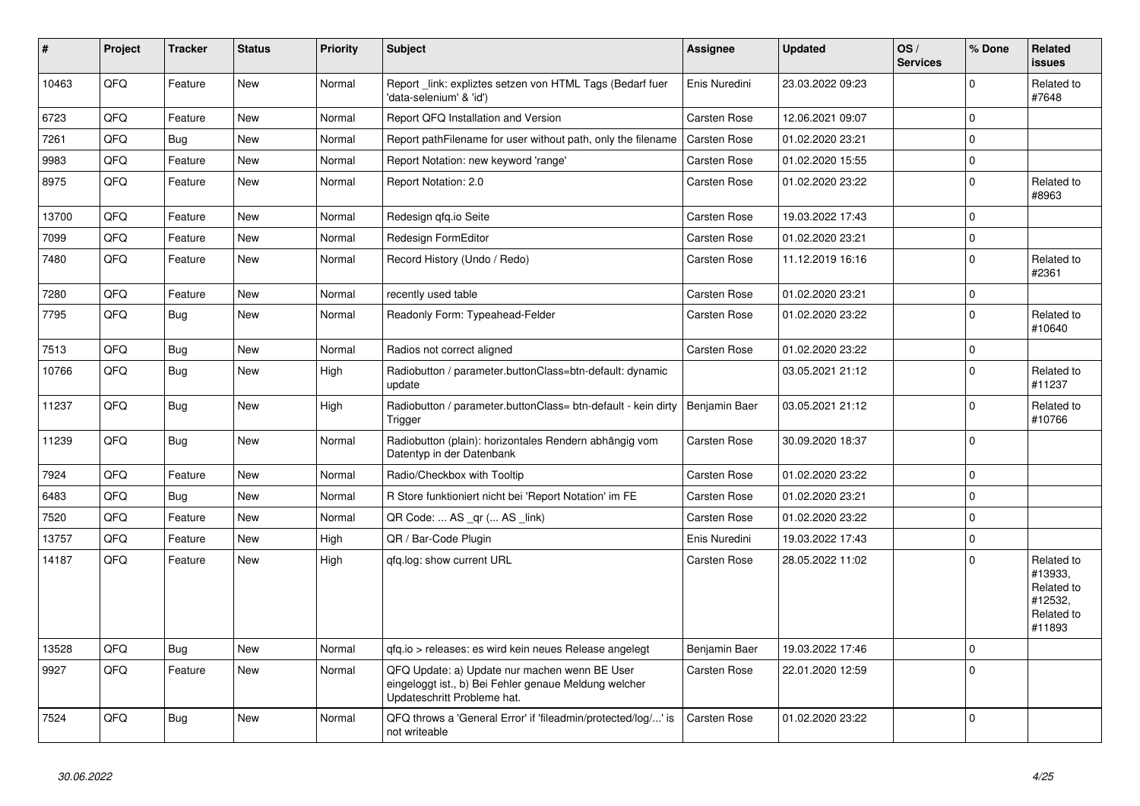| ∥ #   | Project | <b>Tracker</b> | <b>Status</b> | <b>Priority</b> | <b>Subject</b>                                                                                                                        | <b>Assignee</b> | <b>Updated</b>   | OS/<br><b>Services</b> | % Done       | Related<br>issues                                                      |
|-------|---------|----------------|---------------|-----------------|---------------------------------------------------------------------------------------------------------------------------------------|-----------------|------------------|------------------------|--------------|------------------------------------------------------------------------|
| 10463 | QFQ     | Feature        | <b>New</b>    | Normal          | Report_link: expliztes setzen von HTML Tags (Bedarf fuer<br>'data-selenium' & 'id')                                                   | Enis Nuredini   | 23.03.2022 09:23 |                        | $\Omega$     | Related to<br>#7648                                                    |
| 6723  | QFQ     | Feature        | <b>New</b>    | Normal          | Report QFQ Installation and Version                                                                                                   | Carsten Rose    | 12.06.2021 09:07 |                        | $\mathbf 0$  |                                                                        |
| 7261  | QFQ     | Bug            | New           | Normal          | Report pathFilename for user without path, only the filename                                                                          | Carsten Rose    | 01.02.2020 23:21 |                        | $\mathbf 0$  |                                                                        |
| 9983  | QFQ     | Feature        | New           | Normal          | Report Notation: new keyword 'range'                                                                                                  | Carsten Rose    | 01.02.2020 15:55 |                        | $\pmb{0}$    |                                                                        |
| 8975  | QFQ     | Feature        | <b>New</b>    | Normal          | Report Notation: 2.0                                                                                                                  | Carsten Rose    | 01.02.2020 23:22 |                        | $\mathbf 0$  | Related to<br>#8963                                                    |
| 13700 | QFQ     | Feature        | <b>New</b>    | Normal          | Redesign gfg.io Seite                                                                                                                 | Carsten Rose    | 19.03.2022 17:43 |                        | $\Omega$     |                                                                        |
| 7099  | QFQ     | Feature        | <b>New</b>    | Normal          | Redesign FormEditor                                                                                                                   | Carsten Rose    | 01.02.2020 23:21 |                        | $\mathbf 0$  |                                                                        |
| 7480  | QFQ     | Feature        | <b>New</b>    | Normal          | Record History (Undo / Redo)                                                                                                          | Carsten Rose    | 11.12.2019 16:16 |                        | $\mathbf{0}$ | Related to<br>#2361                                                    |
| 7280  | QFQ     | Feature        | <b>New</b>    | Normal          | recently used table                                                                                                                   | Carsten Rose    | 01.02.2020 23:21 |                        | $\mathbf 0$  |                                                                        |
| 7795  | QFQ     | <b>Bug</b>     | <b>New</b>    | Normal          | Readonly Form: Typeahead-Felder                                                                                                       | Carsten Rose    | 01.02.2020 23:22 |                        | $\mathbf 0$  | Related to<br>#10640                                                   |
| 7513  | QFQ     | <b>Bug</b>     | New           | Normal          | Radios not correct aligned                                                                                                            | Carsten Rose    | 01.02.2020 23:22 |                        | $\Omega$     |                                                                        |
| 10766 | QFQ     | <b>Bug</b>     | <b>New</b>    | High            | Radiobutton / parameter.buttonClass=btn-default: dynamic<br>update                                                                    |                 | 03.05.2021 21:12 |                        | $\mathbf 0$  | Related to<br>#11237                                                   |
| 11237 | QFQ     | Bug            | <b>New</b>    | High            | Radiobutton / parameter.buttonClass= btn-default - kein dirty<br>Trigger                                                              | Benjamin Baer   | 03.05.2021 21:12 |                        | $\mathbf 0$  | Related to<br>#10766                                                   |
| 11239 | QFQ     | Bug            | <b>New</b>    | Normal          | Radiobutton (plain): horizontales Rendern abhängig vom<br>Datentyp in der Datenbank                                                   | Carsten Rose    | 30.09.2020 18:37 |                        | $\mathbf 0$  |                                                                        |
| 7924  | QFQ     | Feature        | <b>New</b>    | Normal          | Radio/Checkbox with Tooltip                                                                                                           | Carsten Rose    | 01.02.2020 23:22 |                        | 0            |                                                                        |
| 6483  | QFQ     | <b>Bug</b>     | <b>New</b>    | Normal          | R Store funktioniert nicht bei 'Report Notation' im FE                                                                                | Carsten Rose    | 01.02.2020 23:21 |                        | $\mathbf 0$  |                                                                        |
| 7520  | QFQ     | Feature        | <b>New</b>    | Normal          | QR Code:  AS _qr ( AS _link)                                                                                                          | Carsten Rose    | 01.02.2020 23:22 |                        | $\mathbf{0}$ |                                                                        |
| 13757 | QFQ     | Feature        | <b>New</b>    | High            | QR / Bar-Code Plugin                                                                                                                  | Enis Nuredini   | 19.03.2022 17:43 |                        | $\mathbf 0$  |                                                                        |
| 14187 | QFQ     | Feature        | <b>New</b>    | High            | gfg.log: show current URL                                                                                                             | Carsten Rose    | 28.05.2022 11:02 |                        | $\Omega$     | Related to<br>#13933,<br>Related to<br>#12532,<br>Related to<br>#11893 |
| 13528 | QFQ     | Bug            | <b>New</b>    | Normal          | qfq.io > releases: es wird kein neues Release angelegt                                                                                | Benjamin Baer   | 19.03.2022 17:46 |                        | $\Omega$     |                                                                        |
| 9927  | QFQ     | Feature        | <b>New</b>    | Normal          | QFQ Update: a) Update nur machen wenn BE User<br>eingeloggt ist., b) Bei Fehler genaue Meldung welcher<br>Updateschritt Probleme hat. | Carsten Rose    | 22.01.2020 12:59 |                        | $\mathbf 0$  |                                                                        |
| 7524  | QFQ     | Bug            | <b>New</b>    | Normal          | QFQ throws a 'General Error' if 'fileadmin/protected/log/' is<br>not writeable                                                        | Carsten Rose    | 01.02.2020 23:22 |                        | $\mathbf 0$  |                                                                        |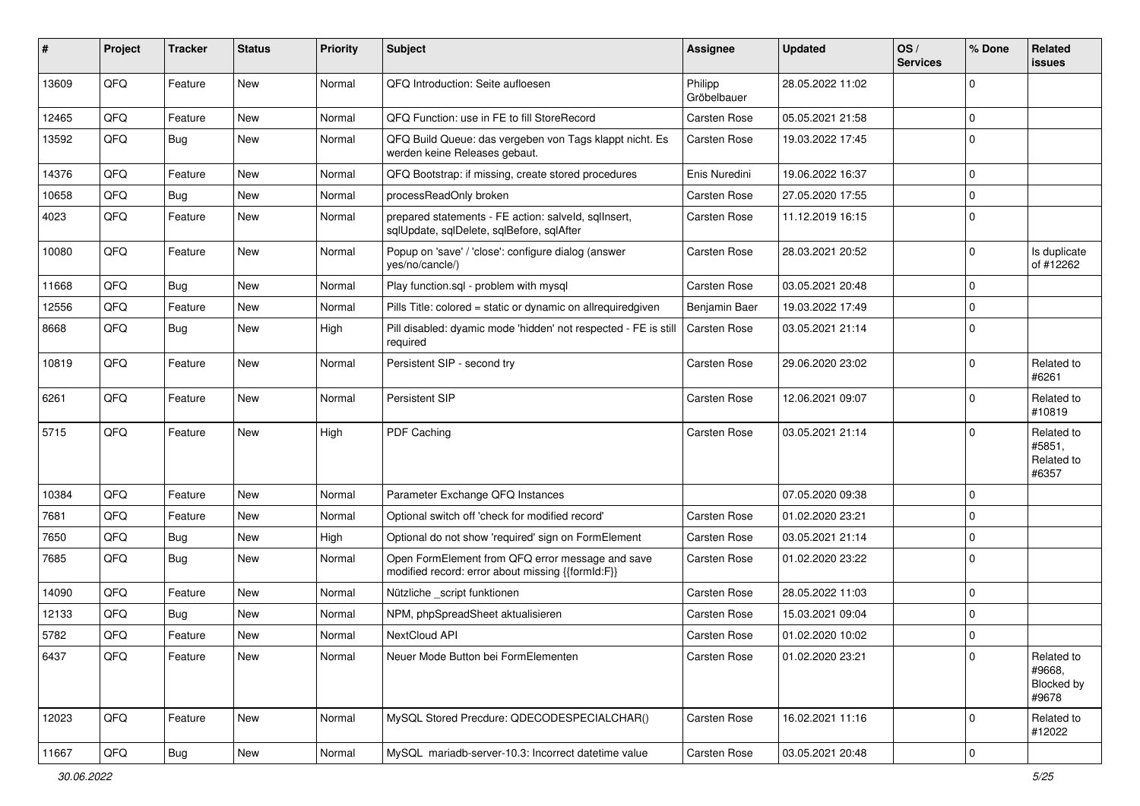| #     | Project | <b>Tracker</b> | <b>Status</b> | <b>Priority</b> | Subject                                                                                               | <b>Assignee</b>        | <b>Updated</b>   | OS/<br><b>Services</b> | % Done      | Related<br>issues                           |
|-------|---------|----------------|---------------|-----------------|-------------------------------------------------------------------------------------------------------|------------------------|------------------|------------------------|-------------|---------------------------------------------|
| 13609 | QFQ     | Feature        | New           | Normal          | QFQ Introduction: Seite aufloesen                                                                     | Philipp<br>Gröbelbauer | 28.05.2022 11:02 |                        | $\mathbf 0$ |                                             |
| 12465 | QFQ     | Feature        | <b>New</b>    | Normal          | QFQ Function: use in FE to fill StoreRecord                                                           | Carsten Rose           | 05.05.2021 21:58 |                        | 0           |                                             |
| 13592 | QFQ     | Bug            | New           | Normal          | QFQ Build Queue: das vergeben von Tags klappt nicht. Es<br>werden keine Releases gebaut.              | Carsten Rose           | 19.03.2022 17:45 |                        | $\mathbf 0$ |                                             |
| 14376 | QFQ     | Feature        | <b>New</b>    | Normal          | QFQ Bootstrap: if missing, create stored procedures                                                   | Enis Nuredini          | 19.06.2022 16:37 |                        | $\mathbf 0$ |                                             |
| 10658 | QFQ     | Bug            | New           | Normal          | processReadOnly broken                                                                                | Carsten Rose           | 27.05.2020 17:55 |                        | 0           |                                             |
| 4023  | QFQ     | Feature        | New           | Normal          | prepared statements - FE action: salveld, sqllnsert,<br>sqlUpdate, sqlDelete, sqlBefore, sqlAfter     | Carsten Rose           | 11.12.2019 16:15 |                        | $\mathbf 0$ |                                             |
| 10080 | QFQ     | Feature        | New           | Normal          | Popup on 'save' / 'close': configure dialog (answer<br>yes/no/cancle/)                                | Carsten Rose           | 28.03.2021 20:52 |                        | $\mathbf 0$ | Is duplicate<br>of #12262                   |
| 11668 | QFQ     | <b>Bug</b>     | <b>New</b>    | Normal          | Play function.sql - problem with mysql                                                                | Carsten Rose           | 03.05.2021 20:48 |                        | $\mathbf 0$ |                                             |
| 12556 | QFQ     | Feature        | <b>New</b>    | Normal          | Pills Title: colored = static or dynamic on allrequiredgiven                                          | Benjamin Baer          | 19.03.2022 17:49 |                        | $\pmb{0}$   |                                             |
| 8668  | QFQ     | Bug            | New           | High            | Pill disabled: dyamic mode 'hidden' not respected - FE is still<br>required                           | Carsten Rose           | 03.05.2021 21:14 |                        | $\mathbf 0$ |                                             |
| 10819 | QFQ     | Feature        | New           | Normal          | Persistent SIP - second try                                                                           | Carsten Rose           | 29.06.2020 23:02 |                        | 0           | Related to<br>#6261                         |
| 6261  | QFQ     | Feature        | New           | Normal          | Persistent SIP                                                                                        | Carsten Rose           | 12.06.2021 09:07 |                        | $\mathbf 0$ | Related to<br>#10819                        |
| 5715  | QFQ     | Feature        | New           | High            | PDF Caching                                                                                           | Carsten Rose           | 03.05.2021 21:14 |                        | $\mathbf 0$ | Related to<br>#5851,<br>Related to<br>#6357 |
| 10384 | QFQ     | Feature        | New           | Normal          | Parameter Exchange QFQ Instances                                                                      |                        | 07.05.2020 09:38 |                        | $\mathbf 0$ |                                             |
| 7681  | QFQ     | Feature        | <b>New</b>    | Normal          | Optional switch off 'check for modified record'                                                       | Carsten Rose           | 01.02.2020 23:21 |                        | $\mathbf 0$ |                                             |
| 7650  | QFQ     | Bug            | <b>New</b>    | High            | Optional do not show 'required' sign on FormElement                                                   | Carsten Rose           | 03.05.2021 21:14 |                        | $\mathbf 0$ |                                             |
| 7685  | QFQ     | Bug            | New           | Normal          | Open FormElement from QFQ error message and save<br>modified record: error about missing {{formId:F}} | Carsten Rose           | 01.02.2020 23:22 |                        | $\mathbf 0$ |                                             |
| 14090 | QFQ     | Feature        | New           | Normal          | Nützliche _script funktionen                                                                          | Carsten Rose           | 28.05.2022 11:03 |                        | 0           |                                             |
| 12133 | QFQ     | <b>Bug</b>     | <b>New</b>    | Normal          | NPM, phpSpreadSheet aktualisieren                                                                     | Carsten Rose           | 15.03.2021 09:04 |                        | $\mathbf 0$ |                                             |
| 5782  | QFQ     | Feature        | <b>New</b>    | Normal          | NextCloud API                                                                                         | Carsten Rose           | 01.02.2020 10:02 |                        | $\mathbf 0$ |                                             |
| 6437  | QFQ     | Feature        | New           | Normal          | Neuer Mode Button bei FormElementen                                                                   | Carsten Rose           | 01.02.2020 23:21 |                        | $\mathbf 0$ | Related to<br>#9668,<br>Blocked by<br>#9678 |
| 12023 | QFQ     | Feature        | New           | Normal          | MySQL Stored Precdure: QDECODESPECIALCHAR()                                                           | Carsten Rose           | 16.02.2021 11:16 |                        | $\mathbf 0$ | Related to<br>#12022                        |
| 11667 | QFQ     | Bug            | New           | Normal          | MySQL mariadb-server-10.3: Incorrect datetime value                                                   | Carsten Rose           | 03.05.2021 20:48 |                        | $\pmb{0}$   |                                             |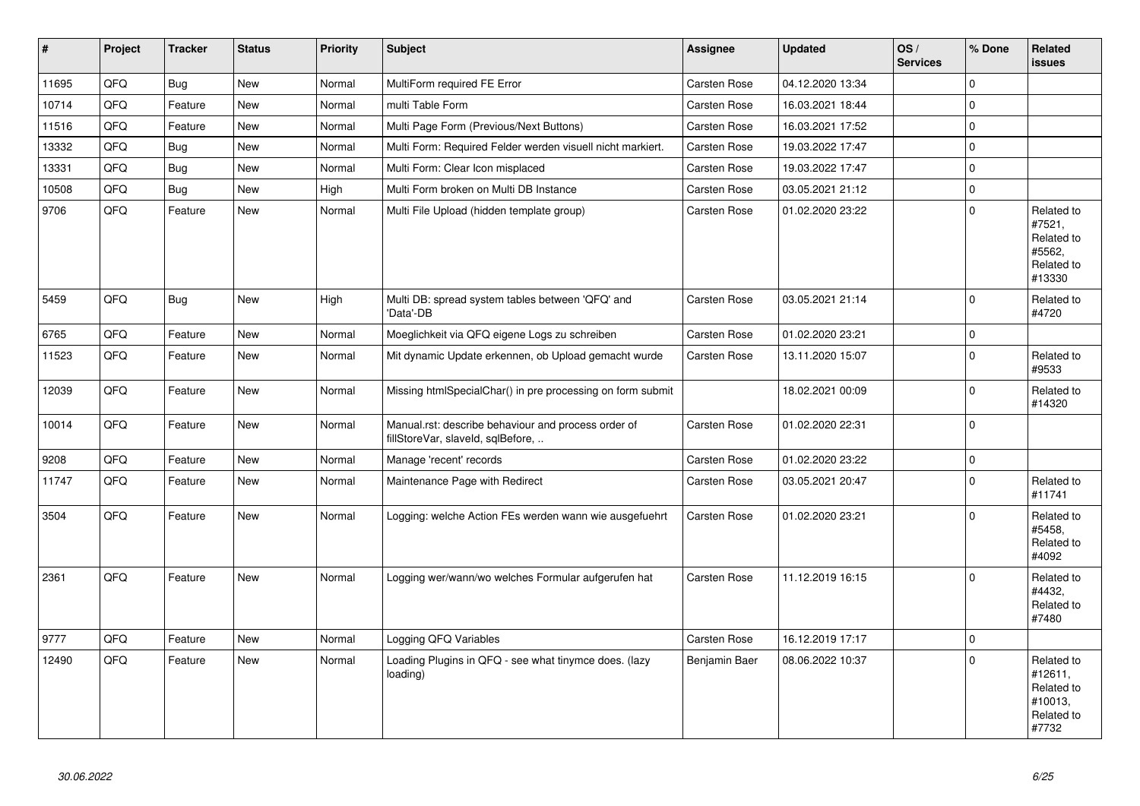| #     | <b>Project</b> | <b>Tracker</b> | <b>Status</b> | <b>Priority</b> | <b>Subject</b>                                                                           | <b>Assignee</b> | <b>Updated</b>   | OS/<br><b>Services</b> | % Done         | Related<br>issues                                                     |
|-------|----------------|----------------|---------------|-----------------|------------------------------------------------------------------------------------------|-----------------|------------------|------------------------|----------------|-----------------------------------------------------------------------|
| 11695 | QFQ            | Bug            | New           | Normal          | MultiForm required FE Error                                                              | Carsten Rose    | 04.12.2020 13:34 |                        | 0              |                                                                       |
| 10714 | QFQ            | Feature        | <b>New</b>    | Normal          | multi Table Form                                                                         | Carsten Rose    | 16.03.2021 18:44 |                        | $\Omega$       |                                                                       |
| 11516 | QFQ            | Feature        | <b>New</b>    | Normal          | Multi Page Form (Previous/Next Buttons)                                                  | Carsten Rose    | 16.03.2021 17:52 |                        | 0              |                                                                       |
| 13332 | QFQ            | <b>Bug</b>     | New           | Normal          | Multi Form: Required Felder werden visuell nicht markiert.                               | Carsten Rose    | 19.03.2022 17:47 |                        | 0              |                                                                       |
| 13331 | QFQ            | Bug            | <b>New</b>    | Normal          | Multi Form: Clear Icon misplaced                                                         | Carsten Rose    | 19.03.2022 17:47 |                        | 0              |                                                                       |
| 10508 | QFQ            | Bug            | <b>New</b>    | High            | Multi Form broken on Multi DB Instance                                                   | Carsten Rose    | 03.05.2021 21:12 |                        | 0              |                                                                       |
| 9706  | QFQ            | Feature        | <b>New</b>    | Normal          | Multi File Upload (hidden template group)                                                | Carsten Rose    | 01.02.2020 23:22 |                        | $\mathbf 0$    | Related to<br>#7521,<br>Related to<br>#5562,<br>Related to<br>#13330  |
| 5459  | QFQ            | Bug            | <b>New</b>    | High            | Multi DB: spread system tables between 'QFQ' and<br>'Data'-DB                            | Carsten Rose    | 03.05.2021 21:14 |                        | $\Omega$       | Related to<br>#4720                                                   |
| 6765  | QFQ            | Feature        | <b>New</b>    | Normal          | Moeglichkeit via QFQ eigene Logs zu schreiben                                            | Carsten Rose    | 01.02.2020 23:21 |                        | 0              |                                                                       |
| 11523 | QFQ            | Feature        | <b>New</b>    | Normal          | Mit dynamic Update erkennen, ob Upload gemacht wurde                                     | Carsten Rose    | 13.11.2020 15:07 |                        | $\overline{0}$ | Related to<br>#9533                                                   |
| 12039 | QFQ            | Feature        | <b>New</b>    | Normal          | Missing htmlSpecialChar() in pre processing on form submit                               |                 | 18.02.2021 00:09 |                        | 0              | Related to<br>#14320                                                  |
| 10014 | QFQ            | Feature        | <b>New</b>    | Normal          | Manual.rst: describe behaviour and process order of<br>fillStoreVar, slaveId, sqlBefore, | Carsten Rose    | 01.02.2020 22:31 |                        | 0              |                                                                       |
| 9208  | QFQ            | Feature        | <b>New</b>    | Normal          | Manage 'recent' records                                                                  | Carsten Rose    | 01.02.2020 23:22 |                        | $\Omega$       |                                                                       |
| 11747 | QFQ            | Feature        | <b>New</b>    | Normal          | Maintenance Page with Redirect                                                           | Carsten Rose    | 03.05.2021 20:47 |                        | 0              | Related to<br>#11741                                                  |
| 3504  | QFQ            | Feature        | <b>New</b>    | Normal          | Logging: welche Action FEs werden wann wie ausgefuehrt                                   | Carsten Rose    | 01.02.2020 23:21 |                        | $\Omega$       | Related to<br>#5458.<br>Related to<br>#4092                           |
| 2361  | QFQ            | Feature        | New           | Normal          | Logging wer/wann/wo welches Formular aufgerufen hat                                      | Carsten Rose    | 11.12.2019 16:15 |                        | 0              | Related to<br>#4432,<br>Related to<br>#7480                           |
| 9777  | QFQ            | Feature        | <b>New</b>    | Normal          | Logging QFQ Variables                                                                    | Carsten Rose    | 16.12.2019 17:17 |                        | 0              |                                                                       |
| 12490 | QFQ            | Feature        | <b>New</b>    | Normal          | Loading Plugins in QFQ - see what tinymce does. (lazy<br>loading)                        | Benjamin Baer   | 08.06.2022 10:37 |                        | $\Omega$       | Related to<br>#12611,<br>Related to<br>#10013,<br>Related to<br>#7732 |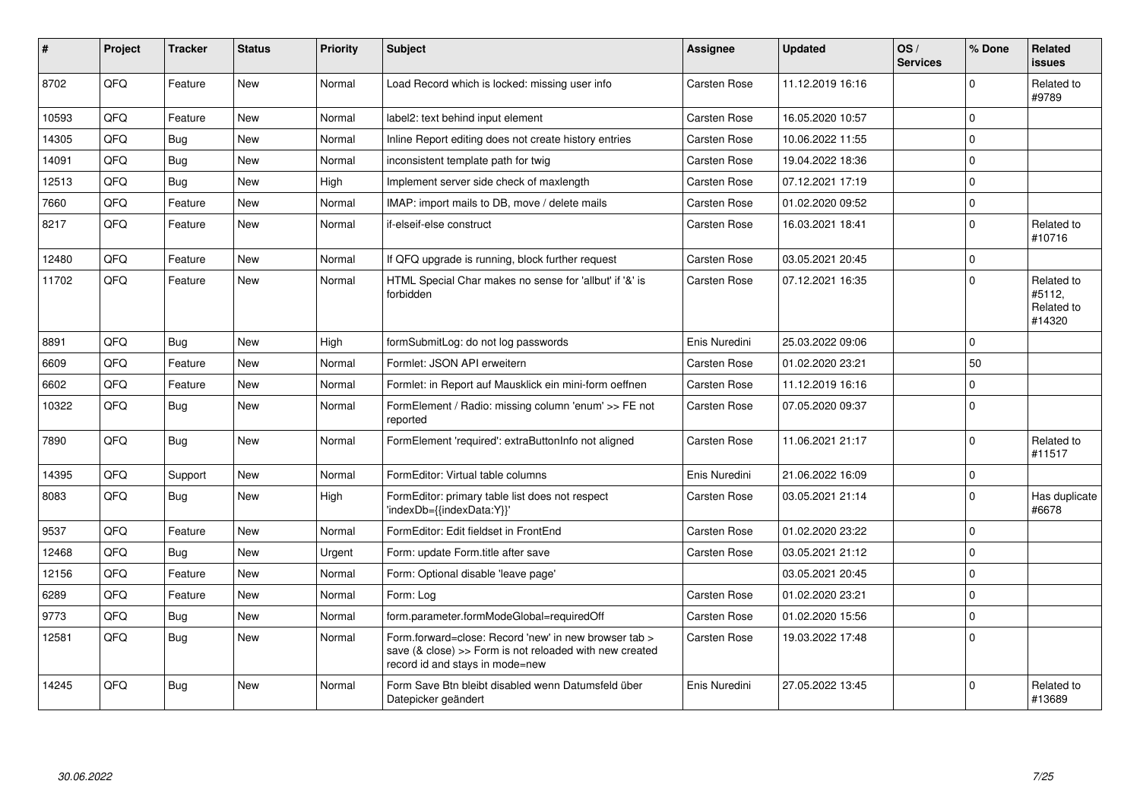| #     | Project | <b>Tracker</b> | <b>Status</b> | <b>Priority</b> | <b>Subject</b>                                                                                                                                      | <b>Assignee</b> | Updated          | OS/<br><b>Services</b> | % Done      | Related<br>issues                            |
|-------|---------|----------------|---------------|-----------------|-----------------------------------------------------------------------------------------------------------------------------------------------------|-----------------|------------------|------------------------|-------------|----------------------------------------------|
| 8702  | QFQ     | Feature        | <b>New</b>    | Normal          | Load Record which is locked: missing user info                                                                                                      | Carsten Rose    | 11.12.2019 16:16 |                        | $\Omega$    | Related to<br>#9789                          |
| 10593 | QFQ     | Feature        | <b>New</b>    | Normal          | label2: text behind input element                                                                                                                   | Carsten Rose    | 16.05.2020 10:57 |                        | $\Omega$    |                                              |
| 14305 | QFQ     | Bug            | <b>New</b>    | Normal          | Inline Report editing does not create history entries                                                                                               | Carsten Rose    | 10.06.2022 11:55 |                        | $\Omega$    |                                              |
| 14091 | QFQ     | Bug            | <b>New</b>    | Normal          | inconsistent template path for twig                                                                                                                 | Carsten Rose    | 19.04.2022 18:36 |                        | $\Omega$    |                                              |
| 12513 | QFQ     | Bug            | <b>New</b>    | High            | Implement server side check of maxlength                                                                                                            | Carsten Rose    | 07.12.2021 17:19 |                        | $\Omega$    |                                              |
| 7660  | QFQ     | Feature        | <b>New</b>    | Normal          | IMAP: import mails to DB, move / delete mails                                                                                                       | Carsten Rose    | 01.02.2020 09:52 |                        | $\Omega$    |                                              |
| 8217  | QFQ     | Feature        | <b>New</b>    | Normal          | if-elseif-else construct                                                                                                                            | Carsten Rose    | 16.03.2021 18:41 |                        | $\Omega$    | Related to<br>#10716                         |
| 12480 | QFQ     | Feature        | <b>New</b>    | Normal          | If QFQ upgrade is running, block further request                                                                                                    | Carsten Rose    | 03.05.2021 20:45 |                        | $\mathbf 0$ |                                              |
| 11702 | QFQ     | Feature        | <b>New</b>    | Normal          | HTML Special Char makes no sense for 'allbut' if '&' is<br>forbidden                                                                                | Carsten Rose    | 07.12.2021 16:35 |                        | $\Omega$    | Related to<br>#5112,<br>Related to<br>#14320 |
| 8891  | QFQ     | <b>Bug</b>     | <b>New</b>    | High            | formSubmitLog: do not log passwords                                                                                                                 | Enis Nuredini   | 25.03.2022 09:06 |                        | $\Omega$    |                                              |
| 6609  | QFQ     | Feature        | New           | Normal          | Formlet: JSON API erweitern                                                                                                                         | Carsten Rose    | 01.02.2020 23:21 |                        | 50          |                                              |
| 6602  | QFQ     | Feature        | <b>New</b>    | Normal          | Formlet: in Report auf Mausklick ein mini-form oeffnen                                                                                              | Carsten Rose    | 11.12.2019 16:16 |                        | $\Omega$    |                                              |
| 10322 | QFQ     | Bug            | <b>New</b>    | Normal          | FormElement / Radio: missing column 'enum' >> FE not<br>reported                                                                                    | Carsten Rose    | 07.05.2020 09:37 |                        | $\Omega$    |                                              |
| 7890  | QFQ     | <b>Bug</b>     | <b>New</b>    | Normal          | FormElement 'required': extraButtonInfo not aligned                                                                                                 | Carsten Rose    | 11.06.2021 21:17 |                        | $\Omega$    | Related to<br>#11517                         |
| 14395 | QFQ     | Support        | <b>New</b>    | Normal          | FormEditor: Virtual table columns                                                                                                                   | Enis Nuredini   | 21.06.2022 16:09 |                        | $\mathbf 0$ |                                              |
| 8083  | QFQ     | Bug            | New           | High            | FormEditor: primary table list does not respect<br>'indexDb={{indexData:Y}}'                                                                        | Carsten Rose    | 03.05.2021 21:14 |                        | $\Omega$    | Has duplicate<br>#6678                       |
| 9537  | QFQ     | Feature        | <b>New</b>    | Normal          | FormEditor: Edit fieldset in FrontEnd                                                                                                               | Carsten Rose    | 01.02.2020 23:22 |                        | $\Omega$    |                                              |
| 12468 | QFQ     | <b>Bug</b>     | <b>New</b>    | Urgent          | Form: update Form.title after save                                                                                                                  | Carsten Rose    | 03.05.2021 21:12 |                        | $\Omega$    |                                              |
| 12156 | QFQ     | Feature        | <b>New</b>    | Normal          | Form: Optional disable 'leave page'                                                                                                                 |                 | 03.05.2021 20:45 |                        | $\Omega$    |                                              |
| 6289  | QFQ     | Feature        | <b>New</b>    | Normal          | Form: Log                                                                                                                                           | Carsten Rose    | 01.02.2020 23:21 |                        | $\Omega$    |                                              |
| 9773  | QFQ     | <b>Bug</b>     | <b>New</b>    | Normal          | form.parameter.formModeGlobal=requiredOff                                                                                                           | Carsten Rose    | 01.02.2020 15:56 |                        | $\Omega$    |                                              |
| 12581 | QFQ     | Bug            | New           | Normal          | Form.forward=close: Record 'new' in new browser tab ><br>save (& close) >> Form is not reloaded with new created<br>record id and stays in mode=new | Carsten Rose    | 19.03.2022 17:48 |                        | $\Omega$    |                                              |
| 14245 | QFQ     | <b>Bug</b>     | New           | Normal          | Form Save Btn bleibt disabled wenn Datumsfeld über<br>Datepicker geändert                                                                           | Enis Nuredini   | 27.05.2022 13:45 |                        | $\Omega$    | Related to<br>#13689                         |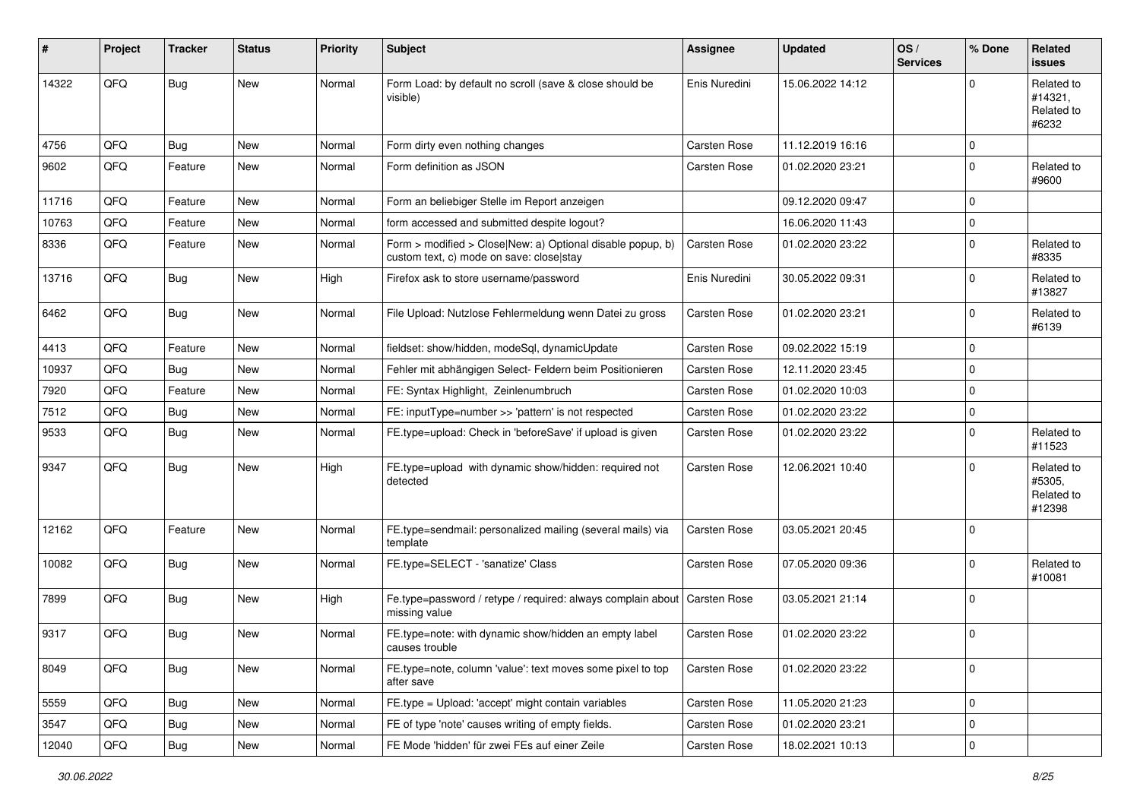| #     | Project | <b>Tracker</b> | <b>Status</b> | <b>Priority</b> | <b>Subject</b>                                                                                         | <b>Assignee</b> | <b>Updated</b>   | OS/<br><b>Services</b> | % Done      | Related<br>issues                            |
|-------|---------|----------------|---------------|-----------------|--------------------------------------------------------------------------------------------------------|-----------------|------------------|------------------------|-------------|----------------------------------------------|
| 14322 | QFQ     | Bug            | New           | Normal          | Form Load: by default no scroll (save & close should be<br>visible)                                    | Enis Nuredini   | 15.06.2022 14:12 |                        | $\mathbf 0$ | Related to<br>#14321,<br>Related to<br>#6232 |
| 4756  | QFQ     | Bug            | <b>New</b>    | Normal          | Form dirty even nothing changes                                                                        | Carsten Rose    | 11.12.2019 16:16 |                        | $\mathbf 0$ |                                              |
| 9602  | QFQ     | Feature        | New           | Normal          | Form definition as JSON                                                                                | Carsten Rose    | 01.02.2020 23:21 |                        | $\mathbf 0$ | Related to<br>#9600                          |
| 11716 | QFQ     | Feature        | New           | Normal          | Form an beliebiger Stelle im Report anzeigen                                                           |                 | 09.12.2020 09:47 |                        | 0           |                                              |
| 10763 | QFQ     | Feature        | New           | Normal          | form accessed and submitted despite logout?                                                            |                 | 16.06.2020 11:43 |                        | $\pmb{0}$   |                                              |
| 8336  | QFQ     | Feature        | New           | Normal          | Form > modified > Close New: a) Optional disable popup, b)<br>custom text, c) mode on save: close stay | Carsten Rose    | 01.02.2020 23:22 |                        | $\mathbf 0$ | Related to<br>#8335                          |
| 13716 | QFQ     | <b>Bug</b>     | New           | High            | Firefox ask to store username/password                                                                 | Enis Nuredini   | 30.05.2022 09:31 |                        | $\mathbf 0$ | Related to<br>#13827                         |
| 6462  | QFQ     | Bug            | New           | Normal          | File Upload: Nutzlose Fehlermeldung wenn Datei zu gross                                                | Carsten Rose    | 01.02.2020 23:21 |                        | $\mathbf 0$ | Related to<br>#6139                          |
| 4413  | QFQ     | Feature        | <b>New</b>    | Normal          | fieldset: show/hidden, modeSql, dynamicUpdate                                                          | Carsten Rose    | 09.02.2022 15:19 |                        | 0           |                                              |
| 10937 | QFQ     | <b>Bug</b>     | <b>New</b>    | Normal          | Fehler mit abhängigen Select- Feldern beim Positionieren                                               | Carsten Rose    | 12.11.2020 23:45 |                        | $\mathbf 0$ |                                              |
| 7920  | QFQ     | Feature        | New           | Normal          | FE: Syntax Highlight, Zeinlenumbruch                                                                   | Carsten Rose    | 01.02.2020 10:03 |                        | $\mathbf 0$ |                                              |
| 7512  | QFQ     | <b>Bug</b>     | <b>New</b>    | Normal          | FE: inputType=number >> 'pattern' is not respected                                                     | Carsten Rose    | 01.02.2020 23:22 |                        | $\mathbf 0$ |                                              |
| 9533  | QFQ     | <b>Bug</b>     | New           | Normal          | FE.type=upload: Check in 'beforeSave' if upload is given                                               | Carsten Rose    | 01.02.2020 23:22 |                        | $\Omega$    | Related to<br>#11523                         |
| 9347  | QFQ     | Bug            | New           | High            | FE.type=upload with dynamic show/hidden: required not<br>detected                                      | Carsten Rose    | 12.06.2021 10:40 |                        | $\mathbf 0$ | Related to<br>#5305,<br>Related to<br>#12398 |
| 12162 | QFQ     | Feature        | New           | Normal          | FE.type=sendmail: personalized mailing (several mails) via<br>template                                 | Carsten Rose    | 03.05.2021 20:45 |                        | $\mathbf 0$ |                                              |
| 10082 | QFQ     | Bug            | New           | Normal          | FE.type=SELECT - 'sanatize' Class                                                                      | Carsten Rose    | 07.05.2020 09:36 |                        | $\mathbf 0$ | Related to<br>#10081                         |
| 7899  | QFQ     | Bug            | New           | High            | Fe.type=password / retype / required: always complain about<br>missing value                           | Carsten Rose    | 03.05.2021 21:14 |                        | $\mathbf 0$ |                                              |
| 9317  | QFQ     | Bug            | New           | Normal          | FE.type=note: with dynamic show/hidden an empty label<br>causes trouble                                | Carsten Rose    | 01.02.2020 23:22 |                        | $\mathbf 0$ |                                              |
| 8049  | QFQ     | Bug            | New           | Normal          | FE.type=note, column 'value': text moves some pixel to top<br>after save                               | Carsten Rose    | 01.02.2020 23:22 |                        | $\mathbf 0$ |                                              |
| 5559  | QFQ     | <b>Bug</b>     | New           | Normal          | FE.type = Upload: 'accept' might contain variables                                                     | Carsten Rose    | 11.05.2020 21:23 |                        | $\pmb{0}$   |                                              |
| 3547  | QFQ     | <b>Bug</b>     | New           | Normal          | FE of type 'note' causes writing of empty fields.                                                      | Carsten Rose    | 01.02.2020 23:21 |                        | 0           |                                              |
| 12040 | QFQ     | Bug            | New           | Normal          | FE Mode 'hidden' für zwei FEs auf einer Zeile                                                          | Carsten Rose    | 18.02.2021 10:13 |                        | $\pmb{0}$   |                                              |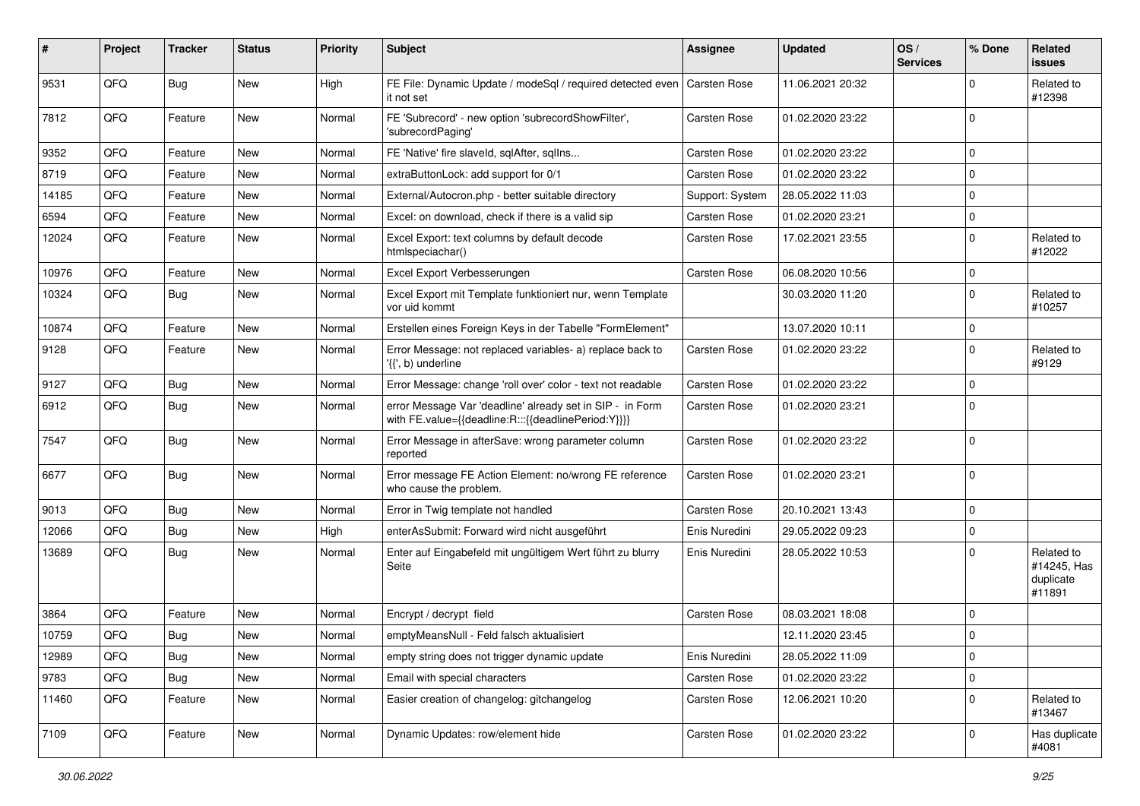| #     | Project | <b>Tracker</b> | <b>Status</b> | <b>Priority</b> | <b>Subject</b>                                                                                                   | <b>Assignee</b> | <b>Updated</b>   | OS/<br><b>Services</b> | % Done      | <b>Related</b><br>issues                         |
|-------|---------|----------------|---------------|-----------------|------------------------------------------------------------------------------------------------------------------|-----------------|------------------|------------------------|-------------|--------------------------------------------------|
| 9531  | QFQ     | <b>Bug</b>     | <b>New</b>    | High            | FE File: Dynamic Update / modeSql / required detected even<br>it not set                                         | Carsten Rose    | 11.06.2021 20:32 |                        | 0           | Related to<br>#12398                             |
| 7812  | QFQ     | Feature        | New           | Normal          | FE 'Subrecord' - new option 'subrecordShowFilter',<br>'subrecordPaging'                                          | Carsten Rose    | 01.02.2020 23:22 |                        | $\mathbf 0$ |                                                  |
| 9352  | QFQ     | Feature        | <b>New</b>    | Normal          | FE 'Native' fire slaveld, sqlAfter, sqlIns                                                                       | Carsten Rose    | 01.02.2020 23:22 |                        | 0           |                                                  |
| 8719  | QFQ     | Feature        | New           | Normal          | extraButtonLock: add support for 0/1                                                                             | Carsten Rose    | 01.02.2020 23:22 |                        | $\mathbf 0$ |                                                  |
| 14185 | QFQ     | Feature        | <b>New</b>    | Normal          | External/Autocron.php - better suitable directory                                                                | Support: System | 28.05.2022 11:03 |                        | 0           |                                                  |
| 6594  | QFQ     | Feature        | <b>New</b>    | Normal          | Excel: on download, check if there is a valid sip                                                                | Carsten Rose    | 01.02.2020 23:21 |                        | 0           |                                                  |
| 12024 | QFQ     | Feature        | <b>New</b>    | Normal          | Excel Export: text columns by default decode<br>htmlspeciachar()                                                 | Carsten Rose    | 17.02.2021 23:55 |                        | $\Omega$    | Related to<br>#12022                             |
| 10976 | QFQ     | Feature        | <b>New</b>    | Normal          | Excel Export Verbesserungen                                                                                      | Carsten Rose    | 06.08.2020 10:56 |                        | 0           |                                                  |
| 10324 | QFQ     | <b>Bug</b>     | New           | Normal          | Excel Export mit Template funktioniert nur, wenn Template<br>vor uid kommt                                       |                 | 30.03.2020 11:20 |                        | $\mathbf 0$ | Related to<br>#10257                             |
| 10874 | QFQ     | Feature        | New           | Normal          | Erstellen eines Foreign Keys in der Tabelle "FormElement"                                                        |                 | 13.07.2020 10:11 |                        | $\pmb{0}$   |                                                  |
| 9128  | QFQ     | Feature        | New           | Normal          | Error Message: not replaced variables- a) replace back to<br>'{{', b) underline                                  | Carsten Rose    | 01.02.2020 23:22 |                        | 0           | Related to<br>#9129                              |
| 9127  | QFQ     | <b>Bug</b>     | New           | Normal          | Error Message: change 'roll over' color - text not readable                                                      | Carsten Rose    | 01.02.2020 23:22 |                        | $\pmb{0}$   |                                                  |
| 6912  | QFQ     | <b>Bug</b>     | <b>New</b>    | Normal          | error Message Var 'deadline' already set in SIP - in Form<br>with FE.value={{deadline:R:::{{deadlinePeriod:Y}}}} | Carsten Rose    | 01.02.2020 23:21 |                        | $\mathbf 0$ |                                                  |
| 7547  | QFQ     | <b>Bug</b>     | New           | Normal          | Error Message in afterSave: wrong parameter column<br>reported                                                   | Carsten Rose    | 01.02.2020 23:22 |                        | $\mathbf 0$ |                                                  |
| 6677  | QFQ     | Bug            | New           | Normal          | Error message FE Action Element: no/wrong FE reference<br>who cause the problem.                                 | Carsten Rose    | 01.02.2020 23:21 |                        | $\mathbf 0$ |                                                  |
| 9013  | QFQ     | Bug            | <b>New</b>    | Normal          | Error in Twig template not handled                                                                               | Carsten Rose    | 20.10.2021 13:43 |                        | 0           |                                                  |
| 12066 | QFQ     | Bug            | New           | High            | enterAsSubmit: Forward wird nicht ausgeführt                                                                     | Enis Nuredini   | 29.05.2022 09:23 |                        | $\pmb{0}$   |                                                  |
| 13689 | QFQ     | <b>Bug</b>     | New           | Normal          | Enter auf Eingabefeld mit ungültigem Wert führt zu blurry<br>Seite                                               | Enis Nuredini   | 28.05.2022 10:53 |                        | $\mathbf 0$ | Related to<br>#14245, Has<br>duplicate<br>#11891 |
| 3864  | QFQ     | Feature        | <b>New</b>    | Normal          | Encrypt / decrypt field                                                                                          | Carsten Rose    | 08.03.2021 18:08 |                        | 0           |                                                  |
| 10759 | QFQ     | Bug            | New           | Normal          | emptyMeansNull - Feld falsch aktualisiert                                                                        |                 | 12.11.2020 23:45 |                        | $\mathbf 0$ |                                                  |
| 12989 | QFQ     | <b>Bug</b>     | New           | Normal          | empty string does not trigger dynamic update                                                                     | Enis Nuredini   | 28.05.2022 11:09 |                        | $\pmb{0}$   |                                                  |
| 9783  | QFQ     | <b>Bug</b>     | New           | Normal          | Email with special characters                                                                                    | Carsten Rose    | 01.02.2020 23:22 |                        | $\pmb{0}$   |                                                  |
| 11460 | QFQ     | Feature        | New           | Normal          | Easier creation of changelog: gitchangelog                                                                       | Carsten Rose    | 12.06.2021 10:20 |                        | $\pmb{0}$   | Related to<br>#13467                             |
| 7109  | QFQ     | Feature        | New           | Normal          | Dynamic Updates: row/element hide                                                                                | Carsten Rose    | 01.02.2020 23:22 |                        | $\pmb{0}$   | Has duplicate<br>#4081                           |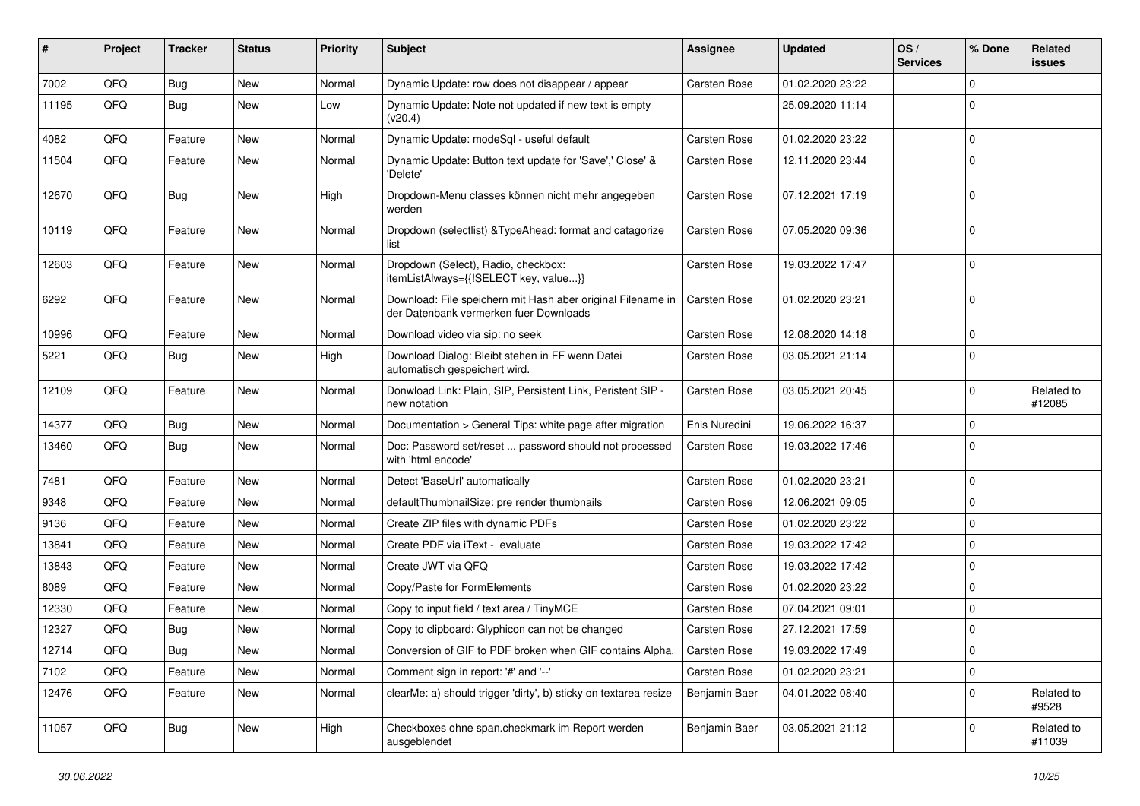| ∦     | Project | <b>Tracker</b> | <b>Status</b> | <b>Priority</b> | Subject                                                                                               | Assignee            | <b>Updated</b>   | OS/<br><b>Services</b> | % Done      | Related<br><b>issues</b> |
|-------|---------|----------------|---------------|-----------------|-------------------------------------------------------------------------------------------------------|---------------------|------------------|------------------------|-------------|--------------------------|
| 7002  | QFQ     | Bug            | New           | Normal          | Dynamic Update: row does not disappear / appear                                                       | Carsten Rose        | 01.02.2020 23:22 |                        | $\mathbf 0$ |                          |
| 11195 | QFQ     | <b>Bug</b>     | <b>New</b>    | Low             | Dynamic Update: Note not updated if new text is empty<br>(v20.4)                                      |                     | 25.09.2020 11:14 |                        | $\Omega$    |                          |
| 4082  | QFQ     | Feature        | New           | Normal          | Dynamic Update: modeSql - useful default                                                              | Carsten Rose        | 01.02.2020 23:22 |                        | $\mathbf 0$ |                          |
| 11504 | QFQ     | Feature        | New           | Normal          | Dynamic Update: Button text update for 'Save',' Close' &<br>'Delete'                                  | Carsten Rose        | 12.11.2020 23:44 |                        | $\Omega$    |                          |
| 12670 | QFQ     | <b>Bug</b>     | New           | High            | Dropdown-Menu classes können nicht mehr angegeben<br>werden                                           | Carsten Rose        | 07.12.2021 17:19 |                        | $\mathbf 0$ |                          |
| 10119 | QFQ     | Feature        | <b>New</b>    | Normal          | Dropdown (selectlist) & TypeAhead: format and catagorize<br>list                                      | Carsten Rose        | 07.05.2020 09:36 |                        | $\mathbf 0$ |                          |
| 12603 | QFQ     | Feature        | <b>New</b>    | Normal          | Dropdown (Select), Radio, checkbox:<br>itemListAlways={{!SELECT key, value}}                          | Carsten Rose        | 19.03.2022 17:47 |                        | $\mathbf 0$ |                          |
| 6292  | QFQ     | Feature        | New           | Normal          | Download: File speichern mit Hash aber original Filename in<br>der Datenbank vermerken fuer Downloads | Carsten Rose        | 01.02.2020 23:21 |                        | $\mathbf 0$ |                          |
| 10996 | QFQ     | Feature        | New           | Normal          | Download video via sip: no seek                                                                       | Carsten Rose        | 12.08.2020 14:18 |                        | $\mathbf 0$ |                          |
| 5221  | QFQ     | <b>Bug</b>     | New           | High            | Download Dialog: Bleibt stehen in FF wenn Datei<br>automatisch gespeichert wird.                      | Carsten Rose        | 03.05.2021 21:14 |                        | $\Omega$    |                          |
| 12109 | QFQ     | Feature        | New           | Normal          | Donwload Link: Plain, SIP, Persistent Link, Peristent SIP -<br>new notation                           | Carsten Rose        | 03.05.2021 20:45 |                        | $\mathbf 0$ | Related to<br>#12085     |
| 14377 | QFQ     | Bug            | <b>New</b>    | Normal          | Documentation > General Tips: white page after migration                                              | Enis Nuredini       | 19.06.2022 16:37 |                        | $\mathbf 0$ |                          |
| 13460 | QFQ     | <b>Bug</b>     | New           | Normal          | Doc: Password set/reset  password should not processed<br>with 'html encode'                          | Carsten Rose        | 19.03.2022 17:46 |                        | $\mathbf 0$ |                          |
| 7481  | QFQ     | Feature        | <b>New</b>    | Normal          | Detect 'BaseUrl' automatically                                                                        | Carsten Rose        | 01.02.2020 23:21 |                        | $\mathbf 0$ |                          |
| 9348  | QFQ     | Feature        | <b>New</b>    | Normal          | defaultThumbnailSize: pre render thumbnails                                                           | Carsten Rose        | 12.06.2021 09:05 |                        | $\mathbf 0$ |                          |
| 9136  | QFQ     | Feature        | <b>New</b>    | Normal          | Create ZIP files with dynamic PDFs                                                                    | Carsten Rose        | 01.02.2020 23:22 |                        | $\mathbf 0$ |                          |
| 13841 | QFQ     | Feature        | New           | Normal          | Create PDF via iText - evaluate                                                                       | Carsten Rose        | 19.03.2022 17:42 |                        | $\mathbf 0$ |                          |
| 13843 | QFQ     | Feature        | New           | Normal          | Create JWT via QFQ                                                                                    | Carsten Rose        | 19.03.2022 17:42 |                        | $\mathbf 0$ |                          |
| 8089  | QFQ     | Feature        | <b>New</b>    | Normal          | Copy/Paste for FormElements                                                                           | Carsten Rose        | 01.02.2020 23:22 |                        | $\mathbf 0$ |                          |
| 12330 | QFQ     | Feature        | New           | Normal          | Copy to input field / text area / TinyMCE                                                             | Carsten Rose        | 07.04.2021 09:01 |                        | $\mathbf 0$ |                          |
| 12327 | QFQ     | Bug            | New           | Normal          | Copy to clipboard: Glyphicon can not be changed                                                       | Carsten Rose        | 27.12.2021 17:59 |                        | $\mathbf 0$ |                          |
| 12714 | QFQ     | Bug            | New           | Normal          | Conversion of GIF to PDF broken when GIF contains Alpha.                                              | <b>Carsten Rose</b> | 19.03.2022 17:49 |                        | 0           |                          |
| 7102  | QFQ     | Feature        | New           | Normal          | Comment sign in report: '#' and '--'                                                                  | Carsten Rose        | 01.02.2020 23:21 |                        | $\mathbf 0$ |                          |
| 12476 | QFQ     | Feature        | New           | Normal          | clearMe: a) should trigger 'dirty', b) sticky on textarea resize                                      | Benjamin Baer       | 04.01.2022 08:40 |                        | $\mathbf 0$ | Related to<br>#9528      |
| 11057 | QFQ     | <b>Bug</b>     | New           | High            | Checkboxes ohne span.checkmark im Report werden<br>ausgeblendet                                       | Benjamin Baer       | 03.05.2021 21:12 |                        | $\mathbf 0$ | Related to<br>#11039     |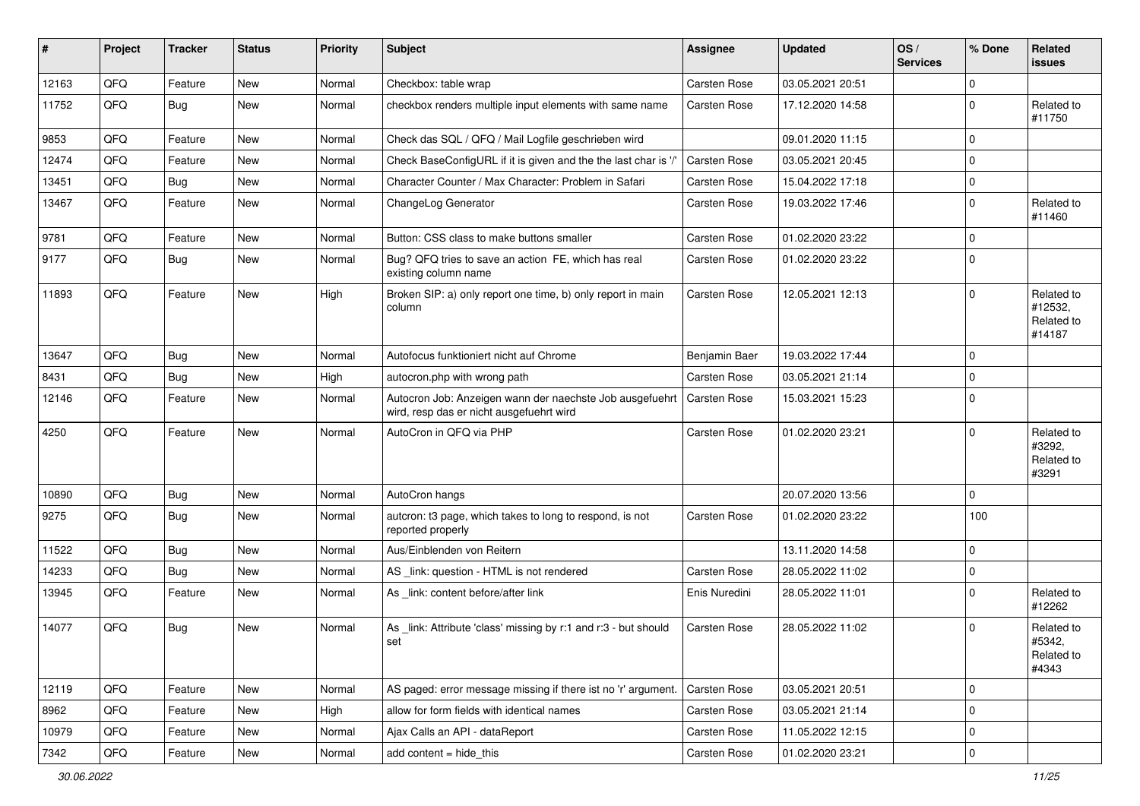| #     | Project | <b>Tracker</b> | <b>Status</b> | <b>Priority</b> | <b>Subject</b>                                                                                       | <b>Assignee</b>     | <b>Updated</b>   | OS/<br><b>Services</b> | % Done      | Related<br>issues                             |
|-------|---------|----------------|---------------|-----------------|------------------------------------------------------------------------------------------------------|---------------------|------------------|------------------------|-------------|-----------------------------------------------|
| 12163 | QFQ     | Feature        | <b>New</b>    | Normal          | Checkbox: table wrap                                                                                 | Carsten Rose        | 03.05.2021 20:51 |                        | 0           |                                               |
| 11752 | QFQ     | Bug            | New           | Normal          | checkbox renders multiple input elements with same name                                              | Carsten Rose        | 17.12.2020 14:58 |                        | $\mathbf 0$ | Related to<br>#11750                          |
| 9853  | QFQ     | Feature        | New           | Normal          | Check das SQL / QFQ / Mail Logfile geschrieben wird                                                  |                     | 09.01.2020 11:15 |                        | $\mathbf 0$ |                                               |
| 12474 | QFQ     | Feature        | <b>New</b>    | Normal          | Check BaseConfigURL if it is given and the the last char is '/'                                      | Carsten Rose        | 03.05.2021 20:45 |                        | $\mathbf 0$ |                                               |
| 13451 | QFQ     | Bug            | New           | Normal          | Character Counter / Max Character: Problem in Safari                                                 | Carsten Rose        | 15.04.2022 17:18 |                        | $\mathbf 0$ |                                               |
| 13467 | QFQ     | Feature        | New           | Normal          | ChangeLog Generator                                                                                  | Carsten Rose        | 19.03.2022 17:46 |                        | $\mathbf 0$ | Related to<br>#11460                          |
| 9781  | QFQ     | Feature        | <b>New</b>    | Normal          | Button: CSS class to make buttons smaller                                                            | Carsten Rose        | 01.02.2020 23:22 |                        | $\mathbf 0$ |                                               |
| 9177  | QFQ     | Bug            | <b>New</b>    | Normal          | Bug? QFQ tries to save an action FE, which has real<br>existing column name                          | Carsten Rose        | 01.02.2020 23:22 |                        | $\mathbf 0$ |                                               |
| 11893 | QFQ     | Feature        | New           | High            | Broken SIP: a) only report one time, b) only report in main<br>column                                | Carsten Rose        | 12.05.2021 12:13 |                        | $\mathbf 0$ | Related to<br>#12532,<br>Related to<br>#14187 |
| 13647 | QFQ     | Bug            | <b>New</b>    | Normal          | Autofocus funktioniert nicht auf Chrome                                                              | Benjamin Baer       | 19.03.2022 17:44 |                        | 0           |                                               |
| 8431  | QFQ     | Bug            | New           | High            | autocron.php with wrong path                                                                         | <b>Carsten Rose</b> | 03.05.2021 21:14 |                        | $\mathbf 0$ |                                               |
| 12146 | QFQ     | Feature        | New           | Normal          | Autocron Job: Anzeigen wann der naechste Job ausgefuehrt<br>wird, resp das er nicht ausgefuehrt wird | Carsten Rose        | 15.03.2021 15:23 |                        | $\mathbf 0$ |                                               |
| 4250  | QFQ     | Feature        | New           | Normal          | AutoCron in QFQ via PHP                                                                              | Carsten Rose        | 01.02.2020 23:21 |                        | $\mathbf 0$ | Related to<br>#3292,<br>Related to<br>#3291   |
| 10890 | QFQ     | Bug            | New           | Normal          | AutoCron hangs                                                                                       |                     | 20.07.2020 13:56 |                        | $\mathbf 0$ |                                               |
| 9275  | QFQ     | Bug            | New           | Normal          | autcron: t3 page, which takes to long to respond, is not<br>reported properly                        | Carsten Rose        | 01.02.2020 23:22 |                        | 100         |                                               |
| 11522 | QFQ     | Bug            | New           | Normal          | Aus/Einblenden von Reitern                                                                           |                     | 13.11.2020 14:58 |                        | $\mathbf 0$ |                                               |
| 14233 | QFQ     | Bug            | New           | Normal          | AS _link: question - HTML is not rendered                                                            | Carsten Rose        | 28.05.2022 11:02 |                        | $\mathbf 0$ |                                               |
| 13945 | QFQ     | Feature        | New           | Normal          | As _link: content before/after link                                                                  | Enis Nuredini       | 28.05.2022 11:01 |                        | $\mathbf 0$ | Related to<br>#12262                          |
| 14077 | QFQ     | Bug            | <b>New</b>    | Normal          | As _link: Attribute 'class' missing by r:1 and r:3 - but should<br>set                               | Carsten Rose        | 28.05.2022 11:02 |                        | $\mathbf 0$ | Related to<br>#5342,<br>Related to<br>#4343   |
| 12119 | QFQ     | Feature        | New           | Normal          | AS paged: error message missing if there ist no 'r' argument.                                        | Carsten Rose        | 03.05.2021 20:51 |                        | $\mathbf 0$ |                                               |
| 8962  | QFQ     | Feature        | New           | High            | allow for form fields with identical names                                                           | Carsten Rose        | 03.05.2021 21:14 |                        | $\mathbf 0$ |                                               |
| 10979 | QFQ     | Feature        | New           | Normal          | Ajax Calls an API - dataReport                                                                       | Carsten Rose        | 11.05.2022 12:15 |                        | 0           |                                               |
| 7342  | QFG     | Feature        | New           | Normal          | add content = hide_this                                                                              | Carsten Rose        | 01.02.2020 23:21 |                        | $\pmb{0}$   |                                               |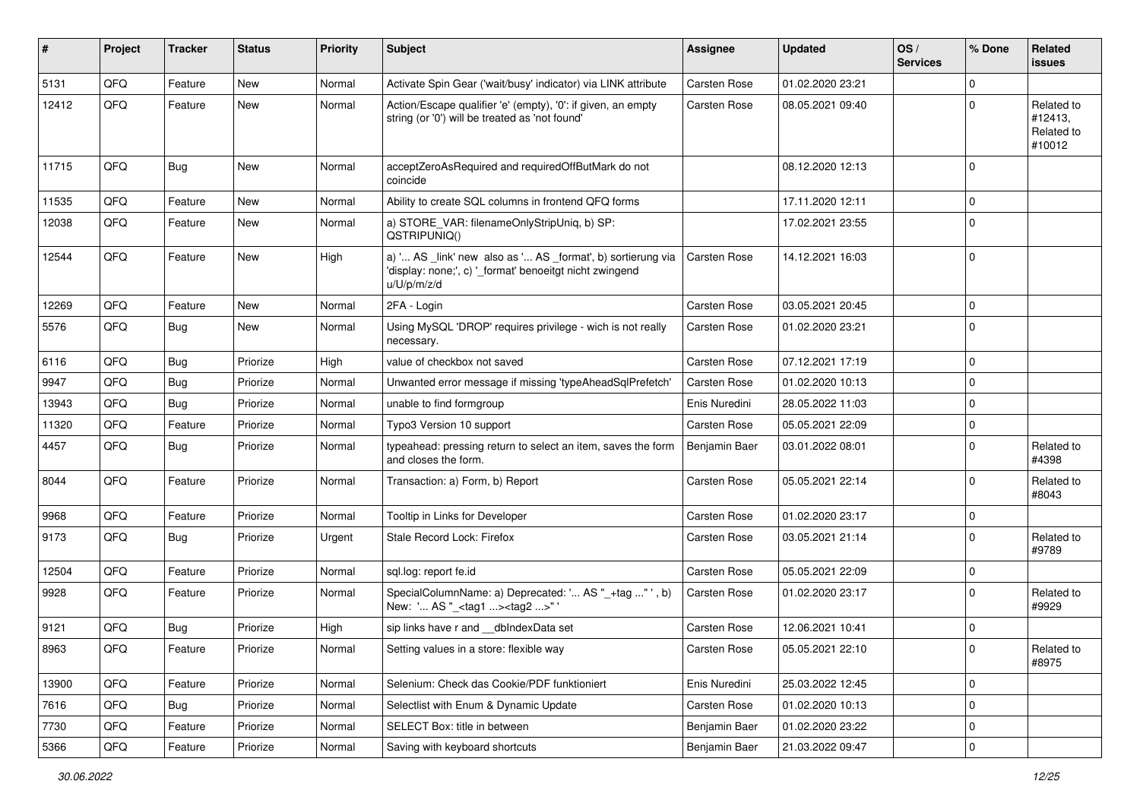| #     | Project | <b>Tracker</b> | <b>Status</b> | <b>Priority</b> | <b>Subject</b>                                                                                                                        | <b>Assignee</b> | <b>Updated</b>   | OS/<br><b>Services</b> | % Done      | <b>Related</b><br>issues                      |
|-------|---------|----------------|---------------|-----------------|---------------------------------------------------------------------------------------------------------------------------------------|-----------------|------------------|------------------------|-------------|-----------------------------------------------|
| 5131  | QFQ     | Feature        | <b>New</b>    | Normal          | Activate Spin Gear ('wait/busy' indicator) via LINK attribute                                                                         | Carsten Rose    | 01.02.2020 23:21 |                        | $\mathbf 0$ |                                               |
| 12412 | QFQ     | Feature        | <b>New</b>    | Normal          | Action/Escape qualifier 'e' (empty), '0': if given, an empty<br>string (or '0') will be treated as 'not found'                        | Carsten Rose    | 08.05.2021 09:40 |                        | $\Omega$    | Related to<br>#12413,<br>Related to<br>#10012 |
| 11715 | QFQ     | Bug            | New           | Normal          | acceptZeroAsRequired and requiredOffButMark do not<br>coincide                                                                        |                 | 08.12.2020 12:13 |                        | $\Omega$    |                                               |
| 11535 | QFQ     | Feature        | <b>New</b>    | Normal          | Ability to create SQL columns in frontend QFQ forms                                                                                   |                 | 17.11.2020 12:11 |                        | $\Omega$    |                                               |
| 12038 | QFQ     | Feature        | New           | Normal          | a) STORE_VAR: filenameOnlyStripUniq, b) SP:<br>QSTRIPUNIQ()                                                                           |                 | 17.02.2021 23:55 |                        | $\Omega$    |                                               |
| 12544 | QFQ     | Feature        | <b>New</b>    | High            | a) ' AS _link' new also as ' AS _format', b) sortierung via<br>'display: none;', c) '_format' benoeitgt nicht zwingend<br>u/U/p/m/z/d | Carsten Rose    | 14.12.2021 16:03 |                        | $\Omega$    |                                               |
| 12269 | QFQ     | Feature        | <b>New</b>    | Normal          | 2FA - Login                                                                                                                           | Carsten Rose    | 03.05.2021 20:45 |                        | $\Omega$    |                                               |
| 5576  | QFQ     | Bug            | <b>New</b>    | Normal          | Using MySQL 'DROP' requires privilege - wich is not really<br>necessary.                                                              | Carsten Rose    | 01.02.2020 23:21 |                        | $\Omega$    |                                               |
| 6116  | QFQ     | <b>Bug</b>     | Priorize      | High            | value of checkbox not saved                                                                                                           | Carsten Rose    | 07.12.2021 17:19 |                        | $\Omega$    |                                               |
| 9947  | QFQ     | <b>Bug</b>     | Priorize      | Normal          | Unwanted error message if missing 'typeAheadSqlPrefetch'                                                                              | Carsten Rose    | 01.02.2020 10:13 |                        | $\Omega$    |                                               |
| 13943 | QFQ     | Bug            | Priorize      | Normal          | unable to find formgroup                                                                                                              | Enis Nuredini   | 28.05.2022 11:03 |                        | $\Omega$    |                                               |
| 11320 | QFQ     | Feature        | Priorize      | Normal          | Typo3 Version 10 support                                                                                                              | Carsten Rose    | 05.05.2021 22:09 |                        | $\Omega$    |                                               |
| 4457  | QFQ     | <b>Bug</b>     | Priorize      | Normal          | typeahead: pressing return to select an item, saves the form<br>and closes the form.                                                  | Benjamin Baer   | 03.01.2022 08:01 |                        | $\Omega$    | Related to<br>#4398                           |
| 8044  | QFQ     | Feature        | Priorize      | Normal          | Transaction: a) Form, b) Report                                                                                                       | Carsten Rose    | 05.05.2021 22:14 |                        | $\Omega$    | Related to<br>#8043                           |
| 9968  | QFQ     | Feature        | Priorize      | Normal          | Tooltip in Links for Developer                                                                                                        | Carsten Rose    | 01.02.2020 23:17 |                        | $\mathbf 0$ |                                               |
| 9173  | QFQ     | Bug            | Priorize      | Urgent          | Stale Record Lock: Firefox                                                                                                            | Carsten Rose    | 03.05.2021 21:14 |                        | $\Omega$    | Related to<br>#9789                           |
| 12504 | QFQ     | Feature        | Priorize      | Normal          | sql.log: report fe.id                                                                                                                 | Carsten Rose    | 05.05.2021 22:09 |                        | $\Omega$    |                                               |
| 9928  | QFQ     | Feature        | Priorize      | Normal          | SpecialColumnName: a) Deprecated: ' AS "_+tag " ', b)<br>New: ' AS "_ <tag1><tag2>"</tag2></tag1>                                     | Carsten Rose    | 01.02.2020 23:17 |                        | $\Omega$    | Related to<br>#9929                           |
| 9121  | QFQ     | Bug            | Priorize      | High            | sip links have r and __dbIndexData set                                                                                                | Carsten Rose    | 12.06.2021 10:41 |                        | $\Omega$    |                                               |
| 8963  | QFQ     | Feature        | Priorize      | Normal          | Setting values in a store: flexible way                                                                                               | Carsten Rose    | 05.05.2021 22:10 |                        | 0           | Related to<br>#8975                           |
| 13900 | QFQ     | Feature        | Priorize      | Normal          | Selenium: Check das Cookie/PDF funktioniert                                                                                           | Enis Nuredini   | 25.03.2022 12:45 |                        | 0           |                                               |
| 7616  | QFQ     | Bug            | Priorize      | Normal          | Selectlist with Enum & Dynamic Update                                                                                                 | Carsten Rose    | 01.02.2020 10:13 |                        | $\mathbf 0$ |                                               |
| 7730  | QFQ     | Feature        | Priorize      | Normal          | SELECT Box: title in between                                                                                                          | Benjamin Baer   | 01.02.2020 23:22 |                        | $\mathbf 0$ |                                               |
| 5366  | QFQ     | Feature        | Priorize      | Normal          | Saving with keyboard shortcuts                                                                                                        | Benjamin Baer   | 21.03.2022 09:47 |                        | $\pmb{0}$   |                                               |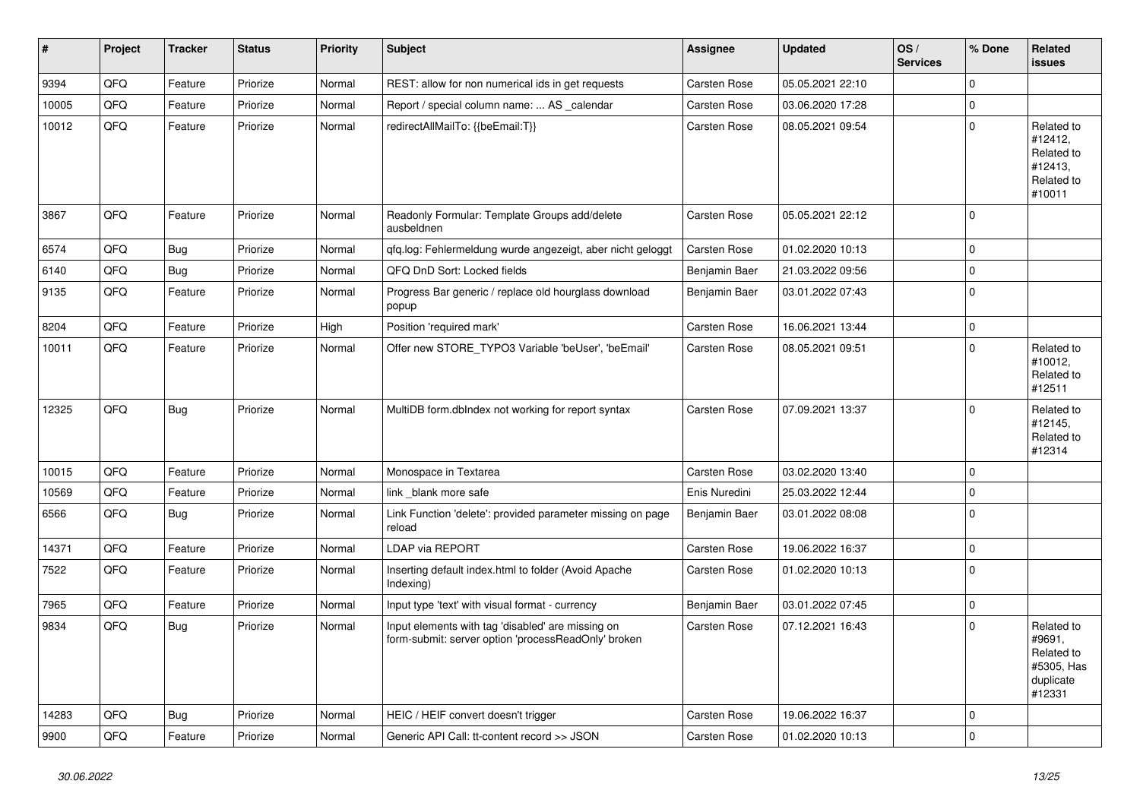| $\vert$ # | Project | <b>Tracker</b> | <b>Status</b> | <b>Priority</b> | <b>Subject</b>                                                                                           | Assignee            | <b>Updated</b>   | OS/<br><b>Services</b> | % Done      | <b>Related</b><br>issues                                                |
|-----------|---------|----------------|---------------|-----------------|----------------------------------------------------------------------------------------------------------|---------------------|------------------|------------------------|-------------|-------------------------------------------------------------------------|
| 9394      | QFQ     | Feature        | Priorize      | Normal          | REST: allow for non numerical ids in get requests                                                        | Carsten Rose        | 05.05.2021 22:10 |                        | $\Omega$    |                                                                         |
| 10005     | QFQ     | Feature        | Priorize      | Normal          | Report / special column name:  AS _calendar                                                              | Carsten Rose        | 03.06.2020 17:28 |                        | $\Omega$    |                                                                         |
| 10012     | QFQ     | Feature        | Priorize      | Normal          | redirectAllMailTo: {{beEmail:T}}                                                                         | Carsten Rose        | 08.05.2021 09:54 |                        | $\Omega$    | Related to<br>#12412,<br>Related to<br>#12413,<br>Related to<br>#10011  |
| 3867      | QFQ     | Feature        | Priorize      | Normal          | Readonly Formular: Template Groups add/delete<br>ausbeldnen                                              | Carsten Rose        | 05.05.2021 22:12 |                        | $\Omega$    |                                                                         |
| 6574      | QFQ     | <b>Bug</b>     | Priorize      | Normal          | qfq.log: Fehlermeldung wurde angezeigt, aber nicht geloggt                                               | Carsten Rose        | 01.02.2020 10:13 |                        | $\mathbf 0$ |                                                                         |
| 6140      | QFQ     | <b>Bug</b>     | Priorize      | Normal          | QFQ DnD Sort: Locked fields                                                                              | Benjamin Baer       | 21.03.2022 09:56 |                        | $\Omega$    |                                                                         |
| 9135      | QFQ     | Feature        | Priorize      | Normal          | Progress Bar generic / replace old hourglass download<br>popup                                           | Benjamin Baer       | 03.01.2022 07:43 |                        | $\Omega$    |                                                                         |
| 8204      | QFQ     | Feature        | Priorize      | High            | Position 'required mark'                                                                                 | Carsten Rose        | 16.06.2021 13:44 |                        | $\mathbf 0$ |                                                                         |
| 10011     | QFQ     | Feature        | Priorize      | Normal          | Offer new STORE TYPO3 Variable 'beUser', 'beEmail'                                                       | Carsten Rose        | 08.05.2021 09:51 |                        | $\Omega$    | Related to<br>#10012,<br>Related to<br>#12511                           |
| 12325     | QFQ     | <b>Bug</b>     | Priorize      | Normal          | MultiDB form.dblndex not working for report syntax                                                       | Carsten Rose        | 07.09.2021 13:37 |                        | $\Omega$    | Related to<br>#12145,<br>Related to<br>#12314                           |
| 10015     | QFQ     | Feature        | Priorize      | Normal          | Monospace in Textarea                                                                                    | <b>Carsten Rose</b> | 03.02.2020 13:40 |                        | $\Omega$    |                                                                         |
| 10569     | QFQ     | Feature        | Priorize      | Normal          | link blank more safe                                                                                     | Enis Nuredini       | 25.03.2022 12:44 |                        | $\Omega$    |                                                                         |
| 6566      | QFQ     | <b>Bug</b>     | Priorize      | Normal          | Link Function 'delete': provided parameter missing on page<br>reload                                     | Benjamin Baer       | 03.01.2022 08:08 |                        | $\Omega$    |                                                                         |
| 14371     | QFQ     | Feature        | Priorize      | Normal          | LDAP via REPORT                                                                                          | Carsten Rose        | 19.06.2022 16:37 |                        | 0           |                                                                         |
| 7522      | QFQ     | Feature        | Priorize      | Normal          | Inserting default index.html to folder (Avoid Apache<br>Indexing)                                        | Carsten Rose        | 01.02.2020 10:13 |                        | $\Omega$    |                                                                         |
| 7965      | QFQ     | Feature        | Priorize      | Normal          | Input type 'text' with visual format - currency                                                          | Benjamin Baer       | 03.01.2022 07:45 |                        | 0           |                                                                         |
| 9834      | QFQ     | <b>Bug</b>     | Priorize      | Normal          | Input elements with tag 'disabled' are missing on<br>form-submit: server option 'processReadOnly' broken | Carsten Rose        | 07.12.2021 16:43 |                        | $\Omega$    | Related to<br>#9691,<br>Related to<br>#5305, Has<br>duplicate<br>#12331 |
| 14283     | QFQ     | Bug            | Priorize      | Normal          | HEIC / HEIF convert doesn't trigger                                                                      | Carsten Rose        | 19.06.2022 16:37 |                        | $\Omega$    |                                                                         |
| 9900      | QFQ     | Feature        | Priorize      | Normal          | Generic API Call: tt-content record >> JSON                                                              | Carsten Rose        | 01.02.2020 10:13 |                        | $\Omega$    |                                                                         |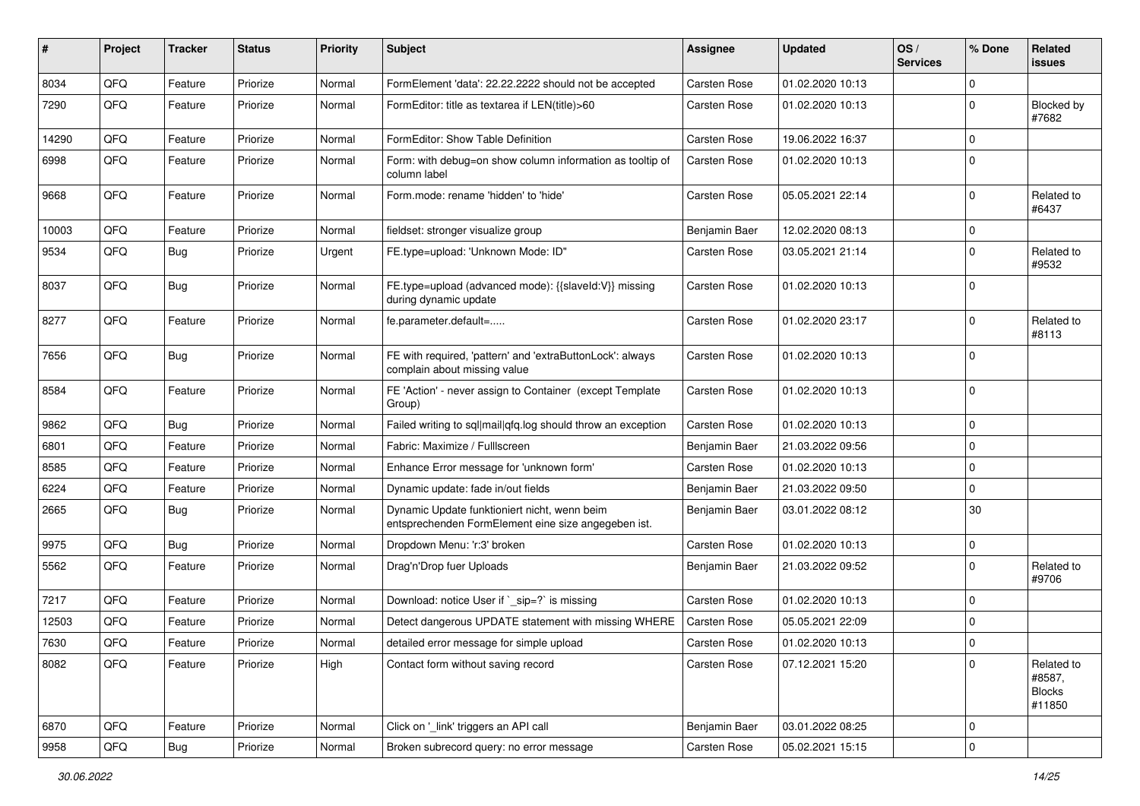| #     | Project | <b>Tracker</b> | <b>Status</b> | <b>Priority</b> | Subject                                                                                             | <b>Assignee</b> | <b>Updated</b>   | OS/<br><b>Services</b> | % Done      | <b>Related</b><br>issues                        |
|-------|---------|----------------|---------------|-----------------|-----------------------------------------------------------------------------------------------------|-----------------|------------------|------------------------|-------------|-------------------------------------------------|
| 8034  | QFQ     | Feature        | Priorize      | Normal          | FormElement 'data': 22.22.2222 should not be accepted                                               | Carsten Rose    | 01.02.2020 10:13 |                        | $\mathbf 0$ |                                                 |
| 7290  | QFQ     | Feature        | Priorize      | Normal          | FormEditor: title as textarea if LEN(title)>60                                                      | Carsten Rose    | 01.02.2020 10:13 |                        | $\Omega$    | Blocked by<br>#7682                             |
| 14290 | QFQ     | Feature        | Priorize      | Normal          | FormEditor: Show Table Definition                                                                   | Carsten Rose    | 19.06.2022 16:37 |                        | $\Omega$    |                                                 |
| 6998  | QFQ     | Feature        | Priorize      | Normal          | Form: with debug=on show column information as tooltip of<br>column label                           | Carsten Rose    | 01.02.2020 10:13 |                        | $\Omega$    |                                                 |
| 9668  | QFQ     | Feature        | Priorize      | Normal          | Form.mode: rename 'hidden' to 'hide'                                                                | Carsten Rose    | 05.05.2021 22:14 |                        | $\Omega$    | Related to<br>#6437                             |
| 10003 | QFQ     | Feature        | Priorize      | Normal          | fieldset: stronger visualize group                                                                  | Benjamin Baer   | 12.02.2020 08:13 |                        | $\mathbf 0$ |                                                 |
| 9534  | QFQ     | <b>Bug</b>     | Priorize      | Urgent          | FE.type=upload: 'Unknown Mode: ID"                                                                  | Carsten Rose    | 03.05.2021 21:14 |                        | $\Omega$    | Related to<br>#9532                             |
| 8037  | QFQ     | Bug            | Priorize      | Normal          | FE.type=upload (advanced mode): {{slaveld:V}} missing<br>during dynamic update                      | Carsten Rose    | 01.02.2020 10:13 |                        | $\Omega$    |                                                 |
| 8277  | QFQ     | Feature        | Priorize      | Normal          | fe.parameter.default=                                                                               | Carsten Rose    | 01.02.2020 23:17 |                        | $\Omega$    | Related to<br>#8113                             |
| 7656  | QFQ     | Bug            | Priorize      | Normal          | FE with required, 'pattern' and 'extraButtonLock': always<br>complain about missing value           | Carsten Rose    | 01.02.2020 10:13 |                        | $\Omega$    |                                                 |
| 8584  | QFQ     | Feature        | Priorize      | Normal          | FE 'Action' - never assign to Container (except Template<br>Group)                                  | Carsten Rose    | 01.02.2020 10:13 |                        | $\Omega$    |                                                 |
| 9862  | QFQ     | Bug            | Priorize      | Normal          | Failed writing to sql mail qfq.log should throw an exception                                        | Carsten Rose    | 01.02.2020 10:13 |                        | $\Omega$    |                                                 |
| 6801  | QFQ     | Feature        | Priorize      | Normal          | Fabric: Maximize / FullIscreen                                                                      | Benjamin Baer   | 21.03.2022 09:56 |                        | $\Omega$    |                                                 |
| 8585  | QFQ     | Feature        | Priorize      | Normal          | Enhance Error message for 'unknown form'                                                            | Carsten Rose    | 01.02.2020 10:13 |                        | $\Omega$    |                                                 |
| 6224  | QFQ     | Feature        | Priorize      | Normal          | Dynamic update: fade in/out fields                                                                  | Benjamin Baer   | 21.03.2022 09:50 |                        | $\Omega$    |                                                 |
| 2665  | QFQ     | Bug            | Priorize      | Normal          | Dynamic Update funktioniert nicht, wenn beim<br>entsprechenden FormElement eine size angegeben ist. | Benjamin Baer   | 03.01.2022 08:12 |                        | 30          |                                                 |
| 9975  | QFQ     | Bug            | Priorize      | Normal          | Dropdown Menu: 'r:3' broken                                                                         | Carsten Rose    | 01.02.2020 10:13 |                        | $\Omega$    |                                                 |
| 5562  | QFQ     | Feature        | Priorize      | Normal          | Drag'n'Drop fuer Uploads                                                                            | Benjamin Baer   | 21.03.2022 09:52 |                        | $\Omega$    | Related to<br>#9706                             |
| 7217  | QFQ     | Feature        | Priorize      | Normal          | Download: notice User if `_sip=?` is missing                                                        | Carsten Rose    | 01.02.2020 10:13 |                        | $\Omega$    |                                                 |
| 12503 | QFQ     | Feature        | Priorize      | Normal          | Detect dangerous UPDATE statement with missing WHERE                                                | Carsten Rose    | 05.05.2021 22:09 |                        | $\Omega$    |                                                 |
| 7630  | QFQ     | Feature        | Priorize      | Normal          | detailed error message for simple upload                                                            | Carsten Rose    | 01.02.2020 10:13 |                        | 0           |                                                 |
| 8082  | QFQ     | Feature        | Priorize      | High            | Contact form without saving record                                                                  | Carsten Rose    | 07.12.2021 15:20 |                        | 0           | Related to<br>#8587,<br><b>Blocks</b><br>#11850 |
| 6870  | QFQ     | Feature        | Priorize      | Normal          | Click on '_link' triggers an API call                                                               | Benjamin Baer   | 03.01.2022 08:25 |                        | 0           |                                                 |
| 9958  | QFG     | Bug            | Priorize      | Normal          | Broken subrecord query: no error message                                                            | Carsten Rose    | 05.02.2021 15:15 |                        | $\pmb{0}$   |                                                 |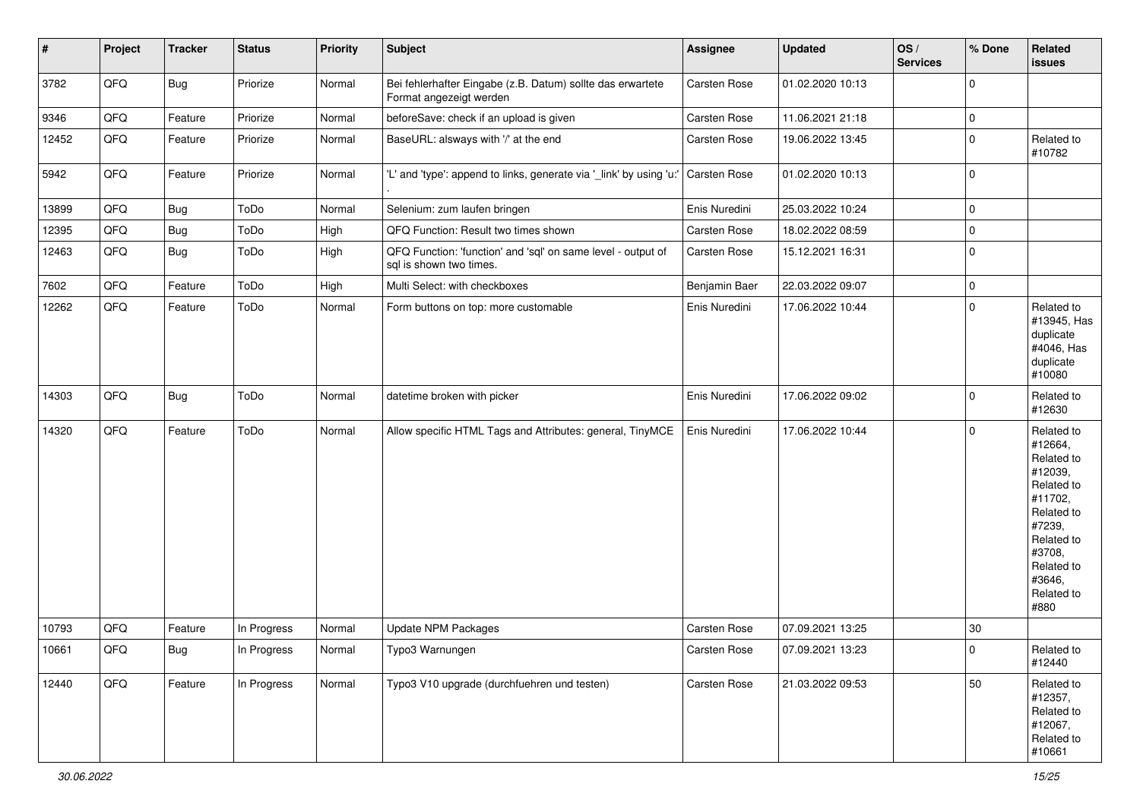| $\vert$ # | Project | <b>Tracker</b> | <b>Status</b> | <b>Priority</b> | <b>Subject</b>                                                                          | <b>Assignee</b> | <b>Updated</b>   | OS/<br><b>Services</b> | % Done      | Related<br>issues                                                                                                                                                     |
|-----------|---------|----------------|---------------|-----------------|-----------------------------------------------------------------------------------------|-----------------|------------------|------------------------|-------------|-----------------------------------------------------------------------------------------------------------------------------------------------------------------------|
| 3782      | QFQ     | Bug            | Priorize      | Normal          | Bei fehlerhafter Eingabe (z.B. Datum) sollte das erwartete<br>Format angezeigt werden   | Carsten Rose    | 01.02.2020 10:13 |                        | $\mathbf 0$ |                                                                                                                                                                       |
| 9346      | QFQ     | Feature        | Priorize      | Normal          | beforeSave: check if an upload is given                                                 | Carsten Rose    | 11.06.2021 21:18 |                        | $\pmb{0}$   |                                                                                                                                                                       |
| 12452     | QFQ     | Feature        | Priorize      | Normal          | BaseURL: alsways with '/' at the end                                                    | Carsten Rose    | 19.06.2022 13:45 |                        | $\mathbf 0$ | Related to<br>#10782                                                                                                                                                  |
| 5942      | QFQ     | Feature        | Priorize      | Normal          | 'L' and 'type': append to links, generate via '_link' by using 'u:'                     | Carsten Rose    | 01.02.2020 10:13 |                        | $\mathbf 0$ |                                                                                                                                                                       |
| 13899     | QFQ     | Bug            | ToDo          | Normal          | Selenium: zum laufen bringen                                                            | Enis Nuredini   | 25.03.2022 10:24 |                        | $\mathbf 0$ |                                                                                                                                                                       |
| 12395     | QFQ     | <b>Bug</b>     | ToDo          | High            | QFQ Function: Result two times shown                                                    | Carsten Rose    | 18.02.2022 08:59 |                        | $\pmb{0}$   |                                                                                                                                                                       |
| 12463     | QFQ     | <b>Bug</b>     | ToDo          | High            | QFQ Function: 'function' and 'sql' on same level - output of<br>sql is shown two times. | Carsten Rose    | 15.12.2021 16:31 |                        | $\mathbf 0$ |                                                                                                                                                                       |
| 7602      | QFQ     | Feature        | ToDo          | High            | Multi Select: with checkboxes                                                           | Benjamin Baer   | 22.03.2022 09:07 |                        | $\pmb{0}$   |                                                                                                                                                                       |
| 12262     | QFQ     | Feature        | ToDo          | Normal          | Form buttons on top: more customable                                                    | Enis Nuredini   | 17.06.2022 10:44 |                        | $\mathbf 0$ | Related to<br>#13945, Has<br>duplicate<br>#4046, Has<br>duplicate<br>#10080                                                                                           |
| 14303     | QFQ     | Bug            | ToDo          | Normal          | datetime broken with picker                                                             | Enis Nuredini   | 17.06.2022 09:02 |                        | $\mathbf 0$ | Related to<br>#12630                                                                                                                                                  |
| 14320     | QFQ     | Feature        | ToDo          | Normal          | Allow specific HTML Tags and Attributes: general, TinyMCE                               | Enis Nuredini   | 17.06.2022 10:44 |                        | $\mathbf 0$ | Related to<br>#12664,<br>Related to<br>#12039,<br>Related to<br>#11702,<br>Related to<br>#7239,<br>Related to<br>#3708,<br>Related to<br>#3646,<br>Related to<br>#880 |
| 10793     | QFQ     | Feature        | In Progress   | Normal          | <b>Update NPM Packages</b>                                                              | Carsten Rose    | 07.09.2021 13:25 |                        | 30          |                                                                                                                                                                       |
| 10661     | QFQ     | <b>Bug</b>     | In Progress   | Normal          | Typo3 Warnungen                                                                         | Carsten Rose    | 07.09.2021 13:23 |                        | 0           | Related to<br>#12440                                                                                                                                                  |
| 12440     | QFG     | Feature        | In Progress   | Normal          | Typo3 V10 upgrade (durchfuehren und testen)                                             | Carsten Rose    | 21.03.2022 09:53 |                        | 50          | Related to<br>#12357,<br>Related to<br>#12067,<br>Related to<br>#10661                                                                                                |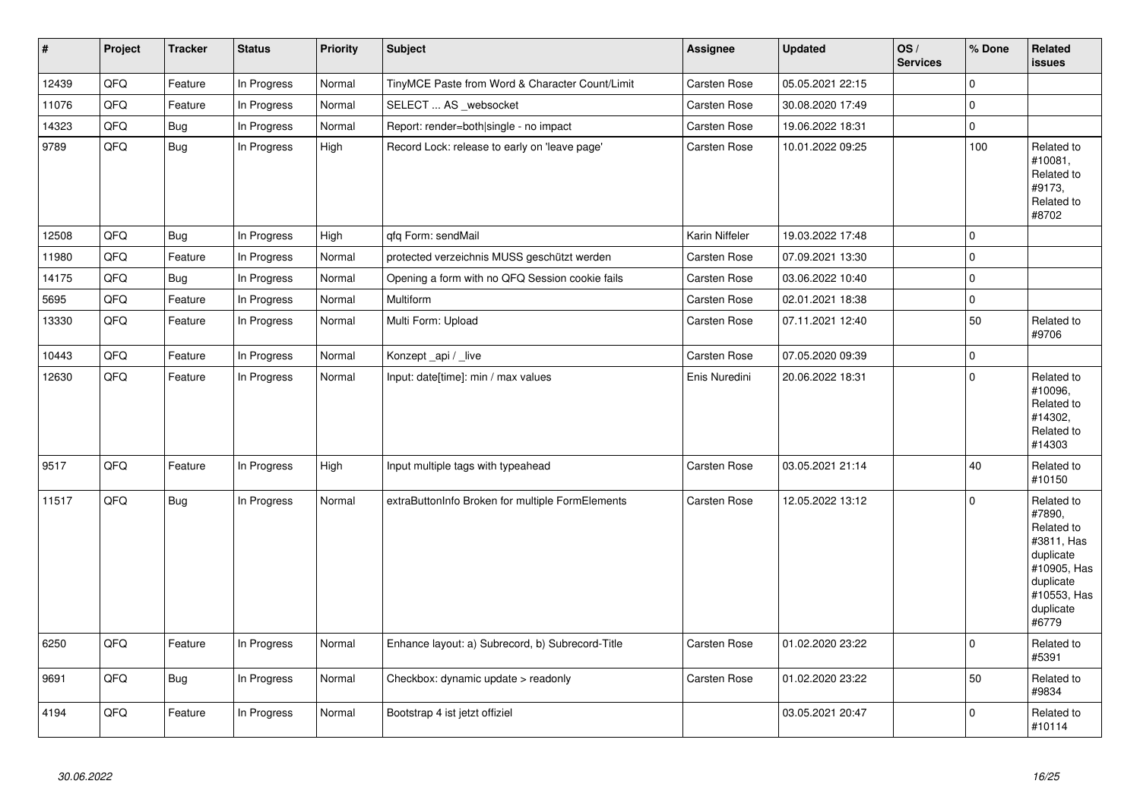| $\pmb{\#}$ | Project | <b>Tracker</b> | <b>Status</b> | <b>Priority</b> | <b>Subject</b>                                   | <b>Assignee</b> | <b>Updated</b>   | OS/<br><b>Services</b> | % Done      | <b>Related</b><br>issues                                                                                                       |
|------------|---------|----------------|---------------|-----------------|--------------------------------------------------|-----------------|------------------|------------------------|-------------|--------------------------------------------------------------------------------------------------------------------------------|
| 12439      | QFQ     | Feature        | In Progress   | Normal          | TinyMCE Paste from Word & Character Count/Limit  | Carsten Rose    | 05.05.2021 22:15 |                        | $\Omega$    |                                                                                                                                |
| 11076      | QFQ     | Feature        | In Progress   | Normal          | SELECT  AS _websocket                            | Carsten Rose    | 30.08.2020 17:49 |                        | $\mathbf 0$ |                                                                                                                                |
| 14323      | QFQ     | <b>Bug</b>     | In Progress   | Normal          | Report: render=both single - no impact           | Carsten Rose    | 19.06.2022 18:31 |                        | $\mathbf 0$ |                                                                                                                                |
| 9789       | QFQ     | Bug            | In Progress   | High            | Record Lock: release to early on 'leave page'    | Carsten Rose    | 10.01.2022 09:25 |                        | 100         | Related to<br>#10081.<br>Related to<br>#9173.<br>Related to<br>#8702                                                           |
| 12508      | QFQ     | <b>Bug</b>     | In Progress   | High            | qfq Form: sendMail                               | Karin Niffeler  | 19.03.2022 17:48 |                        | $\Omega$    |                                                                                                                                |
| 11980      | QFQ     | Feature        | In Progress   | Normal          | protected verzeichnis MUSS geschützt werden      | Carsten Rose    | 07.09.2021 13:30 |                        | $\mathbf 0$ |                                                                                                                                |
| 14175      | QFQ     | Bug            | In Progress   | Normal          | Opening a form with no QFQ Session cookie fails  | Carsten Rose    | 03.06.2022 10:40 |                        | $\mathbf 0$ |                                                                                                                                |
| 5695       | QFQ     | Feature        | In Progress   | Normal          | Multiform                                        | Carsten Rose    | 02.01.2021 18:38 |                        | $\pmb{0}$   |                                                                                                                                |
| 13330      | QFQ     | Feature        | In Progress   | Normal          | Multi Form: Upload                               | Carsten Rose    | 07.11.2021 12:40 |                        | 50          | Related to<br>#9706                                                                                                            |
| 10443      | QFQ     | Feature        | In Progress   | Normal          | Konzept_api / _live                              | Carsten Rose    | 07.05.2020 09:39 |                        | $\mathbf 0$ |                                                                                                                                |
| 12630      | QFQ     | Feature        | In Progress   | Normal          | Input: date[time]: min / max values              | Enis Nuredini   | 20.06.2022 18:31 |                        | $\Omega$    | Related to<br>#10096,<br>Related to<br>#14302,<br>Related to<br>#14303                                                         |
| 9517       | QFQ     | Feature        | In Progress   | High            | Input multiple tags with typeahead               | Carsten Rose    | 03.05.2021 21:14 |                        | 40          | Related to<br>#10150                                                                                                           |
| 11517      | QFQ     | Bug            | In Progress   | Normal          | extraButtonInfo Broken for multiple FormElements | Carsten Rose    | 12.05.2022 13:12 |                        | $\mathbf 0$ | Related to<br>#7890,<br>Related to<br>#3811, Has<br>duplicate<br>#10905, Has<br>duplicate<br>#10553, Has<br>duplicate<br>#6779 |
| 6250       | QFQ     | Feature        | In Progress   | Normal          | Enhance layout: a) Subrecord, b) Subrecord-Title | Carsten Rose    | 01.02.2020 23:22 |                        | $\Omega$    | Related to<br>#5391                                                                                                            |
| 9691       | QFQ     | Bug            | In Progress   | Normal          | Checkbox: dynamic update > readonly              | Carsten Rose    | 01.02.2020 23:22 |                        | 50          | Related to<br>#9834                                                                                                            |
| 4194       | QFQ     | Feature        | In Progress   | Normal          | Bootstrap 4 ist jetzt offiziel                   |                 | 03.05.2021 20:47 |                        | $\mathbf 0$ | Related to<br>#10114                                                                                                           |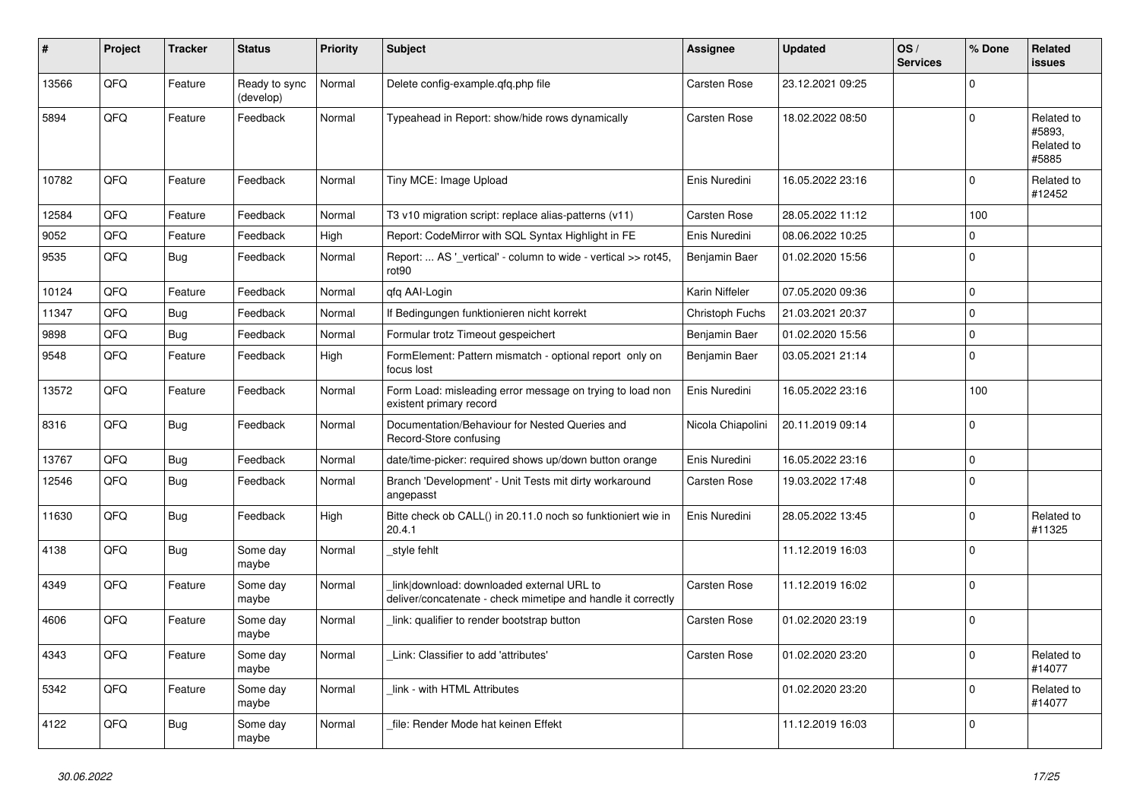| #     | Project | <b>Tracker</b> | <b>Status</b>              | <b>Priority</b> | <b>Subject</b>                                                                                            | Assignee          | <b>Updated</b>   | OS/<br><b>Services</b> | % Done       | <b>Related</b><br><b>issues</b>             |
|-------|---------|----------------|----------------------------|-----------------|-----------------------------------------------------------------------------------------------------------|-------------------|------------------|------------------------|--------------|---------------------------------------------|
| 13566 | QFQ     | Feature        | Ready to sync<br>(develop) | Normal          | Delete config-example.gfg.php file                                                                        | Carsten Rose      | 23.12.2021 09:25 |                        | $\Omega$     |                                             |
| 5894  | QFQ     | Feature        | Feedback                   | Normal          | Typeahead in Report: show/hide rows dynamically                                                           | Carsten Rose      | 18.02.2022 08:50 |                        | $\Omega$     | Related to<br>#5893.<br>Related to<br>#5885 |
| 10782 | QFQ     | Feature        | Feedback                   | Normal          | Tiny MCE: Image Upload                                                                                    | Enis Nuredini     | 16.05.2022 23:16 |                        | $\Omega$     | Related to<br>#12452                        |
| 12584 | QFQ     | Feature        | Feedback                   | Normal          | T3 v10 migration script: replace alias-patterns (v11)                                                     | Carsten Rose      | 28.05.2022 11:12 |                        | 100          |                                             |
| 9052  | QFQ     | Feature        | Feedback                   | High            | Report: CodeMirror with SQL Syntax Highlight in FE                                                        | Enis Nuredini     | 08.06.2022 10:25 |                        | $\mathbf 0$  |                                             |
| 9535  | QFQ     | Bug            | Feedback                   | Normal          | Report:  AS ' vertical' - column to wide - vertical >> rot45,<br>rot90                                    | Benjamin Baer     | 01.02.2020 15:56 |                        | $\mathbf{0}$ |                                             |
| 10124 | QFQ     | Feature        | Feedback                   | Normal          | qfq AAI-Login                                                                                             | Karin Niffeler    | 07.05.2020 09:36 |                        | $\mathbf 0$  |                                             |
| 11347 | QFQ     | Bug            | Feedback                   | Normal          | If Bedingungen funktionieren nicht korrekt                                                                | Christoph Fuchs   | 21.03.2021 20:37 |                        | $\mathbf{0}$ |                                             |
| 9898  | QFQ     | <b>Bug</b>     | Feedback                   | Normal          | Formular trotz Timeout gespeichert                                                                        | Benjamin Baer     | 01.02.2020 15:56 |                        | $\mathbf 0$  |                                             |
| 9548  | QFQ     | Feature        | Feedback                   | High            | FormElement: Pattern mismatch - optional report only on<br>focus lost                                     | Benjamin Baer     | 03.05.2021 21:14 |                        | $\mathbf 0$  |                                             |
| 13572 | QFQ     | Feature        | Feedback                   | Normal          | Form Load: misleading error message on trying to load non<br>existent primary record                      | Enis Nuredini     | 16.05.2022 23:16 |                        | 100          |                                             |
| 8316  | QFQ     | Bug            | Feedback                   | Normal          | Documentation/Behaviour for Nested Queries and<br>Record-Store confusing                                  | Nicola Chiapolini | 20.11.2019 09:14 |                        | $\mathbf 0$  |                                             |
| 13767 | QFQ     | Bug            | Feedback                   | Normal          | date/time-picker: required shows up/down button orange                                                    | Enis Nuredini     | 16.05.2022 23:16 |                        | $\Omega$     |                                             |
| 12546 | QFQ     | <b>Bug</b>     | Feedback                   | Normal          | Branch 'Development' - Unit Tests mit dirty workaround<br>angepasst                                       | Carsten Rose      | 19.03.2022 17:48 |                        | $\Omega$     |                                             |
| 11630 | QFQ     | Bug            | Feedback                   | High            | Bitte check ob CALL() in 20.11.0 noch so funktioniert wie in<br>20.4.1                                    | Enis Nuredini     | 28.05.2022 13:45 |                        | $\mathbf 0$  | Related to<br>#11325                        |
| 4138  | QFQ     | Bug            | Some day<br>maybe          | Normal          | style fehlt                                                                                               |                   | 11.12.2019 16:03 |                        | $\Omega$     |                                             |
| 4349  | QFQ     | Feature        | Some day<br>maybe          | Normal          | link download: downloaded external URL to<br>deliver/concatenate - check mimetipe and handle it correctly | Carsten Rose      | 11.12.2019 16:02 |                        | $\Omega$     |                                             |
| 4606  | QFQ     | Feature        | Some day<br>maybe          | Normal          | link: qualifier to render bootstrap button                                                                | Carsten Rose      | 01.02.2020 23:19 |                        | $\mathbf 0$  |                                             |
| 4343  | QFQ     | Feature        | Some day<br>maybe          | Normal          | Link: Classifier to add 'attributes'                                                                      | Carsten Rose      | 01.02.2020 23:20 |                        | $\mathbf 0$  | Related to<br>#14077                        |
| 5342  | QFQ     | Feature        | Some day<br>maybe          | Normal          | link - with HTML Attributes                                                                               |                   | 01.02.2020 23:20 |                        | $\mathbf 0$  | Related to<br>#14077                        |
| 4122  | QFQ     | Bug            | Some day<br>maybe          | Normal          | file: Render Mode hat keinen Effekt                                                                       |                   | 11.12.2019 16:03 |                        | $\mathbf 0$  |                                             |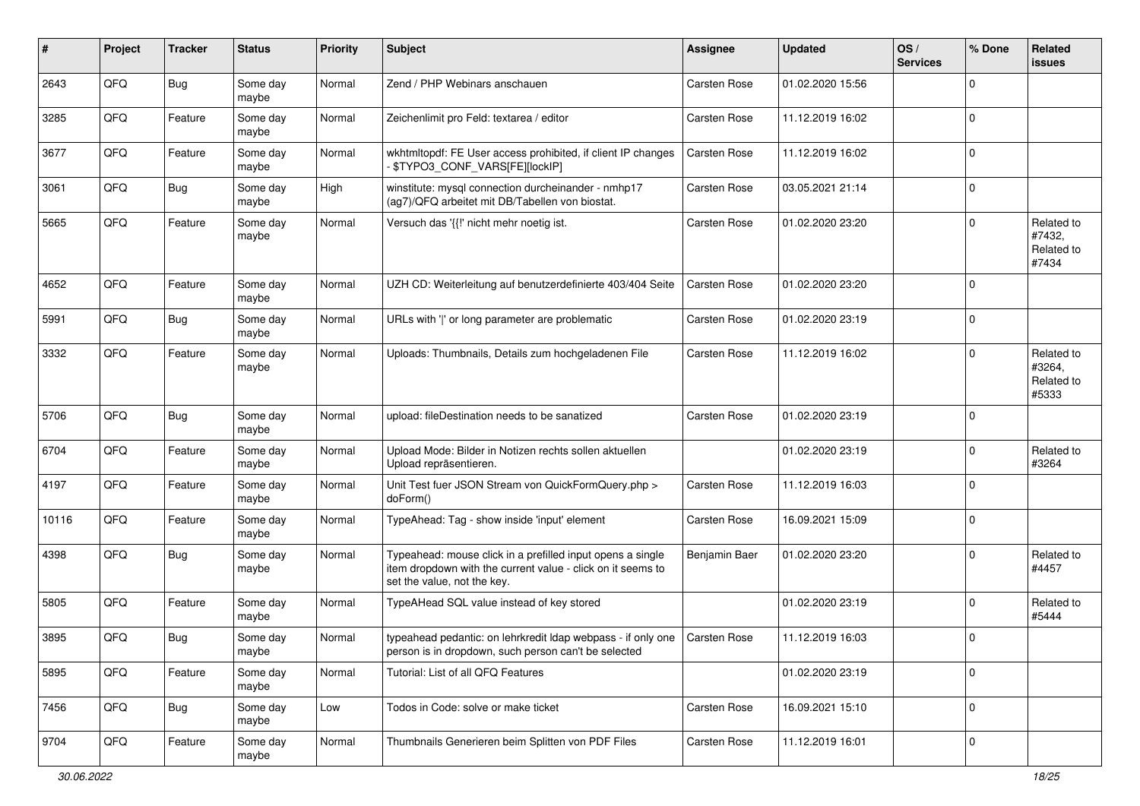| #     | Project | <b>Tracker</b> | <b>Status</b>     | <b>Priority</b> | <b>Subject</b>                                                                                                                                           | <b>Assignee</b> | <b>Updated</b>   | OS/<br><b>Services</b> | % Done      | Related<br><b>issues</b>                    |
|-------|---------|----------------|-------------------|-----------------|----------------------------------------------------------------------------------------------------------------------------------------------------------|-----------------|------------------|------------------------|-------------|---------------------------------------------|
| 2643  | QFQ     | <b>Bug</b>     | Some day<br>maybe | Normal          | Zend / PHP Webinars anschauen                                                                                                                            | Carsten Rose    | 01.02.2020 15:56 |                        | $\mathbf 0$ |                                             |
| 3285  | QFQ     | Feature        | Some day<br>maybe | Normal          | Zeichenlimit pro Feld: textarea / editor                                                                                                                 | Carsten Rose    | 11.12.2019 16:02 |                        | $\mathbf 0$ |                                             |
| 3677  | QFQ     | Feature        | Some day<br>maybe | Normal          | wkhtmltopdf: FE User access prohibited, if client IP changes<br>\$TYPO3_CONF_VARS[FE][lockIP]                                                            | Carsten Rose    | 11.12.2019 16:02 |                        | $\mathbf 0$ |                                             |
| 3061  | QFQ     | Bug            | Some day<br>maybe | High            | winstitute: mysql connection durcheinander - nmhp17<br>(ag7)/QFQ arbeitet mit DB/Tabellen von biostat.                                                   | Carsten Rose    | 03.05.2021 21:14 |                        | $\mathbf 0$ |                                             |
| 5665  | QFQ     | Feature        | Some day<br>maybe | Normal          | Versuch das '{{!' nicht mehr noetig ist.                                                                                                                 | Carsten Rose    | 01.02.2020 23:20 |                        | $\Omega$    | Related to<br>#7432,<br>Related to<br>#7434 |
| 4652  | QFQ     | Feature        | Some day<br>maybe | Normal          | UZH CD: Weiterleitung auf benutzerdefinierte 403/404 Seite                                                                                               | Carsten Rose    | 01.02.2020 23:20 |                        | $\mathbf 0$ |                                             |
| 5991  | QFQ     | Bug            | Some day<br>maybe | Normal          | URLs with ' ' or long parameter are problematic                                                                                                          | Carsten Rose    | 01.02.2020 23:19 |                        | $\mathbf 0$ |                                             |
| 3332  | QFQ     | Feature        | Some day<br>maybe | Normal          | Uploads: Thumbnails, Details zum hochgeladenen File                                                                                                      | Carsten Rose    | 11.12.2019 16:02 |                        | $\mathbf 0$ | Related to<br>#3264,<br>Related to<br>#5333 |
| 5706  | QFQ     | <b>Bug</b>     | Some day<br>maybe | Normal          | upload: fileDestination needs to be sanatized                                                                                                            | Carsten Rose    | 01.02.2020 23:19 |                        | $\mathbf 0$ |                                             |
| 6704  | QFQ     | Feature        | Some day<br>maybe | Normal          | Upload Mode: Bilder in Notizen rechts sollen aktuellen<br>Upload repräsentieren.                                                                         |                 | 01.02.2020 23:19 |                        | $\mathbf 0$ | Related to<br>#3264                         |
| 4197  | QFQ     | Feature        | Some day<br>maybe | Normal          | Unit Test fuer JSON Stream von QuickFormQuery.php ><br>doForm()                                                                                          | Carsten Rose    | 11.12.2019 16:03 |                        | $\mathbf 0$ |                                             |
| 10116 | QFQ     | Feature        | Some day<br>maybe | Normal          | TypeAhead: Tag - show inside 'input' element                                                                                                             | Carsten Rose    | 16.09.2021 15:09 |                        | $\mathbf 0$ |                                             |
| 4398  | QFQ     | Bug            | Some day<br>maybe | Normal          | Typeahead: mouse click in a prefilled input opens a single<br>item dropdown with the current value - click on it seems to<br>set the value, not the key. | Benjamin Baer   | 01.02.2020 23:20 |                        | $\mathbf 0$ | Related to<br>#4457                         |
| 5805  | QFQ     | Feature        | Some day<br>maybe | Normal          | TypeAHead SQL value instead of key stored                                                                                                                |                 | 01.02.2020 23:19 |                        | $\mathbf 0$ | Related to<br>#5444                         |
| 3895  | QFQ     | Bug            | Some day<br>maybe | Normal          | typeahead pedantic: on lehrkredit Idap webpass - if only one   Carsten Rose<br>person is in dropdown, such person can't be selected                      |                 | 11.12.2019 16:03 |                        | $\mathbf 0$ |                                             |
| 5895  | QFQ     | Feature        | Some day<br>maybe | Normal          | Tutorial: List of all QFQ Features                                                                                                                       |                 | 01.02.2020 23:19 |                        | $\mathbf 0$ |                                             |
| 7456  | QFQ     | Bug            | Some day<br>maybe | Low             | Todos in Code: solve or make ticket                                                                                                                      | Carsten Rose    | 16.09.2021 15:10 |                        | $\mathbf 0$ |                                             |
| 9704  | QFQ     | Feature        | Some day<br>maybe | Normal          | Thumbnails Generieren beim Splitten von PDF Files                                                                                                        | Carsten Rose    | 11.12.2019 16:01 |                        | $\pmb{0}$   |                                             |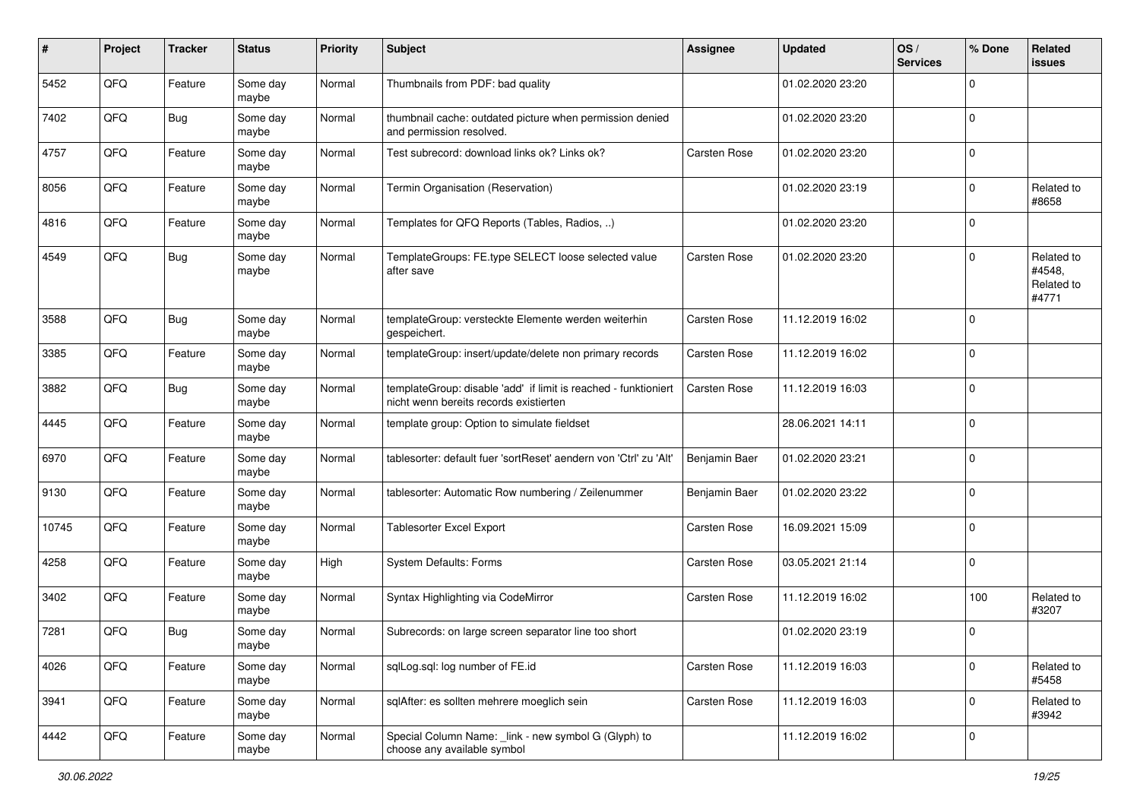| ∦     | Project | <b>Tracker</b> | <b>Status</b>     | <b>Priority</b> | <b>Subject</b>                                                                                            | <b>Assignee</b> | <b>Updated</b>   | OS/<br><b>Services</b> | % Done      | <b>Related</b><br>issues                    |
|-------|---------|----------------|-------------------|-----------------|-----------------------------------------------------------------------------------------------------------|-----------------|------------------|------------------------|-------------|---------------------------------------------|
| 5452  | QFQ     | Feature        | Some day<br>maybe | Normal          | Thumbnails from PDF: bad quality                                                                          |                 | 01.02.2020 23:20 |                        | 0           |                                             |
| 7402  | QFQ     | Bug            | Some day<br>maybe | Normal          | thumbnail cache: outdated picture when permission denied<br>and permission resolved.                      |                 | 01.02.2020 23:20 |                        | 0           |                                             |
| 4757  | QFQ     | Feature        | Some day<br>maybe | Normal          | Test subrecord: download links ok? Links ok?                                                              | Carsten Rose    | 01.02.2020 23:20 |                        | $\mathbf 0$ |                                             |
| 8056  | QFQ     | Feature        | Some day<br>maybe | Normal          | Termin Organisation (Reservation)                                                                         |                 | 01.02.2020 23:19 |                        | $\mathbf 0$ | Related to<br>#8658                         |
| 4816  | QFQ     | Feature        | Some day<br>maybe | Normal          | Templates for QFQ Reports (Tables, Radios, )                                                              |                 | 01.02.2020 23:20 |                        | $\mathbf 0$ |                                             |
| 4549  | QFQ     | <b>Bug</b>     | Some day<br>maybe | Normal          | TemplateGroups: FE.type SELECT loose selected value<br>after save                                         | Carsten Rose    | 01.02.2020 23:20 |                        | 0           | Related to<br>#4548.<br>Related to<br>#4771 |
| 3588  | QFQ     | Bug            | Some day<br>maybe | Normal          | templateGroup: versteckte Elemente werden weiterhin<br>gespeichert.                                       | Carsten Rose    | 11.12.2019 16:02 |                        | 0           |                                             |
| 3385  | QFQ     | Feature        | Some day<br>maybe | Normal          | templateGroup: insert/update/delete non primary records                                                   | Carsten Rose    | 11.12.2019 16:02 |                        | $\mathbf 0$ |                                             |
| 3882  | QFQ     | <b>Bug</b>     | Some day<br>maybe | Normal          | templateGroup: disable 'add' if limit is reached - funktioniert<br>nicht wenn bereits records existierten | Carsten Rose    | 11.12.2019 16:03 |                        | $\mathbf 0$ |                                             |
| 4445  | QFQ     | Feature        | Some day<br>maybe | Normal          | template group: Option to simulate fieldset                                                               |                 | 28.06.2021 14:11 |                        | $\mathbf 0$ |                                             |
| 6970  | QFQ     | Feature        | Some day<br>maybe | Normal          | tablesorter: default fuer 'sortReset' aendern von 'Ctrl' zu 'Alt'                                         | Benjamin Baer   | 01.02.2020 23:21 |                        | $\mathbf 0$ |                                             |
| 9130  | QFQ     | Feature        | Some day<br>maybe | Normal          | tablesorter: Automatic Row numbering / Zeilenummer                                                        | Benjamin Baer   | 01.02.2020 23:22 |                        | 0           |                                             |
| 10745 | QFQ     | Feature        | Some day<br>maybe | Normal          | <b>Tablesorter Excel Export</b>                                                                           | Carsten Rose    | 16.09.2021 15:09 |                        | $\mathbf 0$ |                                             |
| 4258  | QFQ     | Feature        | Some day<br>maybe | High            | <b>System Defaults: Forms</b>                                                                             | Carsten Rose    | 03.05.2021 21:14 |                        | $\mathbf 0$ |                                             |
| 3402  | QFQ     | Feature        | Some day<br>maybe | Normal          | Syntax Highlighting via CodeMirror                                                                        | Carsten Rose    | 11.12.2019 16:02 |                        | 100         | Related to<br>#3207                         |
| 7281  | QFQ     | <b>Bug</b>     | Some day<br>maybe | Normal          | Subrecords: on large screen separator line too short                                                      |                 | 01.02.2020 23:19 |                        | 0           |                                             |
| 4026  | QFO     | Feature        | Some day<br>maybe | Normal          | sqlLog.sql: log number of FE.id                                                                           | Carsten Rose    | 11.12.2019 16:03 |                        | $\mathbf 0$ | Related to<br>#5458                         |
| 3941  | QFO     | Feature        | Some day<br>maybe | Normal          | sqlAfter: es sollten mehrere moeglich sein                                                                | Carsten Rose    | 11.12.2019 16:03 |                        | $\mathbf 0$ | Related to<br>#3942                         |
| 4442  | QFQ     | Feature        | Some day<br>maybe | Normal          | Special Column Name: _link - new symbol G (Glyph) to<br>choose any available symbol                       |                 | 11.12.2019 16:02 |                        | 0           |                                             |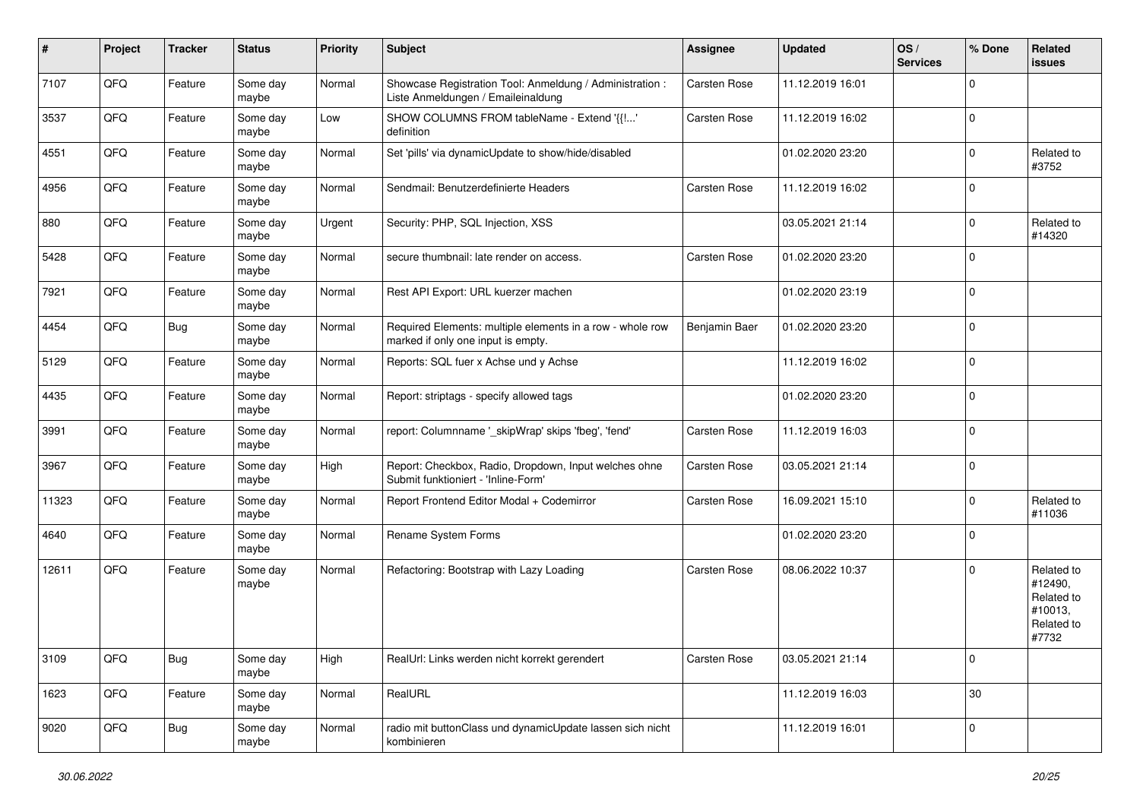| #     | Project | <b>Tracker</b> | <b>Status</b>     | <b>Priority</b> | <b>Subject</b>                                                                                  | <b>Assignee</b> | <b>Updated</b>   | OS/<br><b>Services</b> | % Done      | Related<br>issues                                                     |
|-------|---------|----------------|-------------------|-----------------|-------------------------------------------------------------------------------------------------|-----------------|------------------|------------------------|-------------|-----------------------------------------------------------------------|
| 7107  | QFQ     | Feature        | Some day<br>maybe | Normal          | Showcase Registration Tool: Anmeldung / Administration :<br>Liste Anmeldungen / Emaileinaldung  | Carsten Rose    | 11.12.2019 16:01 |                        | $\mathbf 0$ |                                                                       |
| 3537  | QFQ     | Feature        | Some day<br>maybe | Low             | SHOW COLUMNS FROM tableName - Extend '{{!'<br>definition                                        | Carsten Rose    | 11.12.2019 16:02 |                        | $\mathbf 0$ |                                                                       |
| 4551  | QFQ     | Feature        | Some day<br>maybe | Normal          | Set 'pills' via dynamicUpdate to show/hide/disabled                                             |                 | 01.02.2020 23:20 |                        | $\Omega$    | Related to<br>#3752                                                   |
| 4956  | QFQ     | Feature        | Some day<br>maybe | Normal          | Sendmail: Benutzerdefinierte Headers                                                            | Carsten Rose    | 11.12.2019 16:02 |                        | $\Omega$    |                                                                       |
| 880   | QFQ     | Feature        | Some day<br>maybe | Urgent          | Security: PHP, SQL Injection, XSS                                                               |                 | 03.05.2021 21:14 |                        | $\Omega$    | Related to<br>#14320                                                  |
| 5428  | QFQ     | Feature        | Some day<br>maybe | Normal          | secure thumbnail: late render on access.                                                        | Carsten Rose    | 01.02.2020 23:20 |                        | $\Omega$    |                                                                       |
| 7921  | QFQ     | Feature        | Some day<br>maybe | Normal          | Rest API Export: URL kuerzer machen                                                             |                 | 01.02.2020 23:19 |                        | $\mathbf 0$ |                                                                       |
| 4454  | QFQ     | Bug            | Some day<br>maybe | Normal          | Required Elements: multiple elements in a row - whole row<br>marked if only one input is empty. | Benjamin Baer   | 01.02.2020 23:20 |                        | $\mathbf 0$ |                                                                       |
| 5129  | QFQ     | Feature        | Some day<br>maybe | Normal          | Reports: SQL fuer x Achse und y Achse                                                           |                 | 11.12.2019 16:02 |                        | $\mathbf 0$ |                                                                       |
| 4435  | QFQ     | Feature        | Some day<br>maybe | Normal          | Report: striptags - specify allowed tags                                                        |                 | 01.02.2020 23:20 |                        | $\Omega$    |                                                                       |
| 3991  | QFQ     | Feature        | Some day<br>maybe | Normal          | report: Columnname '_skipWrap' skips 'fbeg', 'fend'                                             | Carsten Rose    | 11.12.2019 16:03 |                        | $\Omega$    |                                                                       |
| 3967  | QFQ     | Feature        | Some day<br>maybe | High            | Report: Checkbox, Radio, Dropdown, Input welches ohne<br>Submit funktioniert - 'Inline-Form'    | Carsten Rose    | 03.05.2021 21:14 |                        | $\Omega$    |                                                                       |
| 11323 | QFQ     | Feature        | Some day<br>maybe | Normal          | Report Frontend Editor Modal + Codemirror                                                       | Carsten Rose    | 16.09.2021 15:10 |                        | $\Omega$    | Related to<br>#11036                                                  |
| 4640  | QFQ     | Feature        | Some day<br>maybe | Normal          | Rename System Forms                                                                             |                 | 01.02.2020 23:20 |                        | $\mathbf 0$ |                                                                       |
| 12611 | QFQ     | Feature        | Some day<br>maybe | Normal          | Refactoring: Bootstrap with Lazy Loading                                                        | Carsten Rose    | 08.06.2022 10:37 |                        | $\Omega$    | Related to<br>#12490,<br>Related to<br>#10013,<br>Related to<br>#7732 |
| 3109  | QFO     | <b>Bug</b>     | Some day<br>maybe | High            | RealUrl: Links werden nicht korrekt gerendert                                                   | Carsten Rose    | 03.05.2021 21:14 |                        | 0           |                                                                       |
| 1623  | QFG     | Feature        | Some day<br>maybe | Normal          | RealURL                                                                                         |                 | 11.12.2019 16:03 |                        | $30\,$      |                                                                       |
| 9020  | QFG     | <b>Bug</b>     | Some day<br>maybe | Normal          | radio mit buttonClass und dynamicUpdate lassen sich nicht<br>kombinieren                        |                 | 11.12.2019 16:01 |                        | 0           |                                                                       |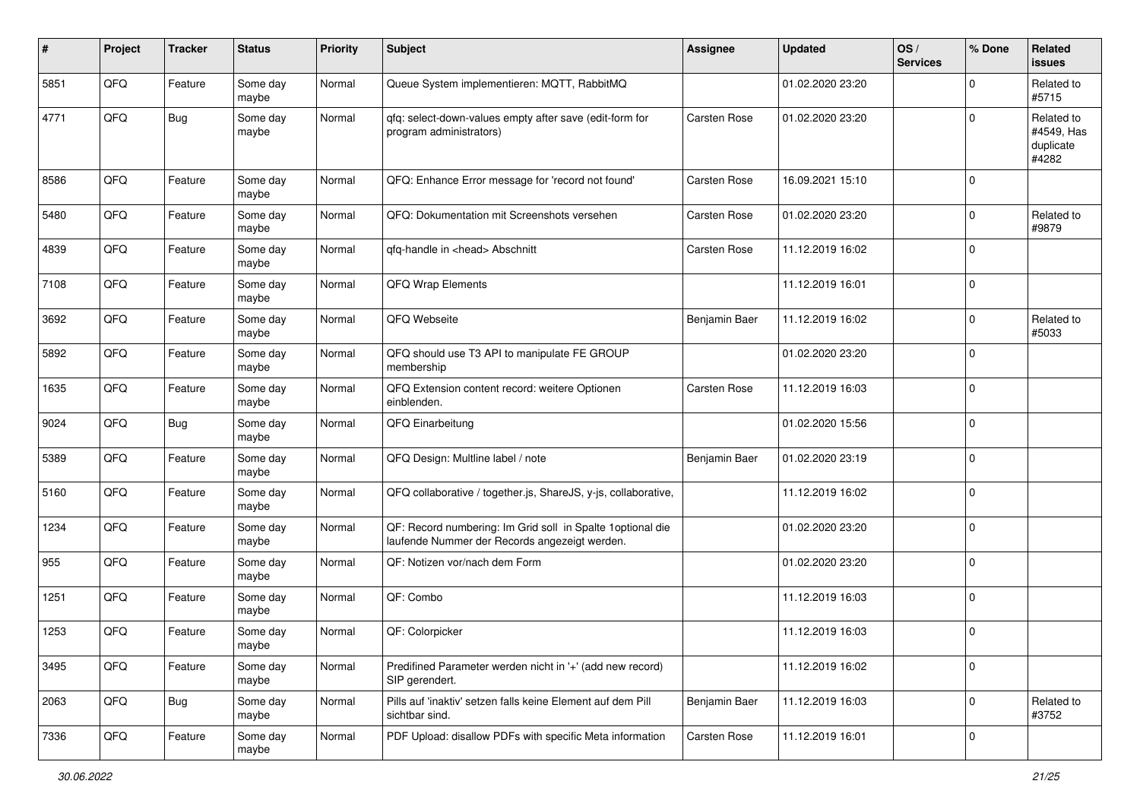| #    | Project | <b>Tracker</b> | <b>Status</b>     | <b>Priority</b> | <b>Subject</b>                                                                                               | <b>Assignee</b> | <b>Updated</b>   | OS/<br><b>Services</b> | % Done      | Related<br>issues                              |
|------|---------|----------------|-------------------|-----------------|--------------------------------------------------------------------------------------------------------------|-----------------|------------------|------------------------|-------------|------------------------------------------------|
| 5851 | QFQ     | Feature        | Some day<br>maybe | Normal          | Queue System implementieren: MQTT, RabbitMQ                                                                  |                 | 01.02.2020 23:20 |                        | $\mathbf 0$ | Related to<br>#5715                            |
| 4771 | QFQ     | Bug            | Some day<br>maybe | Normal          | qfq: select-down-values empty after save (edit-form for<br>program administrators)                           | Carsten Rose    | 01.02.2020 23:20 |                        | $\mathbf 0$ | Related to<br>#4549, Has<br>duplicate<br>#4282 |
| 8586 | QFQ     | Feature        | Some day<br>maybe | Normal          | QFQ: Enhance Error message for 'record not found'                                                            | Carsten Rose    | 16.09.2021 15:10 |                        | $\mathbf 0$ |                                                |
| 5480 | QFQ     | Feature        | Some day<br>maybe | Normal          | QFQ: Dokumentation mit Screenshots versehen                                                                  | Carsten Rose    | 01.02.2020 23:20 |                        | $\mathbf 0$ | Related to<br>#9879                            |
| 4839 | QFQ     | Feature        | Some day<br>maybe | Normal          | qfq-handle in <head> Abschnitt</head>                                                                        | Carsten Rose    | 11.12.2019 16:02 |                        | 0           |                                                |
| 7108 | QFQ     | Feature        | Some day<br>maybe | Normal          | QFQ Wrap Elements                                                                                            |                 | 11.12.2019 16:01 |                        | 0           |                                                |
| 3692 | QFQ     | Feature        | Some day<br>maybe | Normal          | QFQ Webseite                                                                                                 | Benjamin Baer   | 11.12.2019 16:02 |                        | $\mathbf 0$ | Related to<br>#5033                            |
| 5892 | QFQ     | Feature        | Some day<br>maybe | Normal          | QFQ should use T3 API to manipulate FE GROUP<br>membership                                                   |                 | 01.02.2020 23:20 |                        | $\mathbf 0$ |                                                |
| 1635 | QFQ     | Feature        | Some day<br>maybe | Normal          | QFQ Extension content record: weitere Optionen<br>einblenden.                                                | Carsten Rose    | 11.12.2019 16:03 |                        | $\mathbf 0$ |                                                |
| 9024 | QFQ     | <b>Bug</b>     | Some day<br>maybe | Normal          | QFQ Einarbeitung                                                                                             |                 | 01.02.2020 15:56 |                        | $\mathbf 0$ |                                                |
| 5389 | QFQ     | Feature        | Some day<br>maybe | Normal          | QFQ Design: Multline label / note                                                                            | Benjamin Baer   | 01.02.2020 23:19 |                        | $\mathbf 0$ |                                                |
| 5160 | QFQ     | Feature        | Some day<br>maybe | Normal          | QFQ collaborative / together.js, ShareJS, y-js, collaborative,                                               |                 | 11.12.2019 16:02 |                        | 0           |                                                |
| 1234 | QFQ     | Feature        | Some day<br>maybe | Normal          | QF: Record numbering: Im Grid soll in Spalte 1 optional die<br>laufende Nummer der Records angezeigt werden. |                 | 01.02.2020 23:20 |                        | $\mathbf 0$ |                                                |
| 955  | QFQ     | Feature        | Some day<br>maybe | Normal          | QF: Notizen vor/nach dem Form                                                                                |                 | 01.02.2020 23:20 |                        | $\mathbf 0$ |                                                |
| 1251 | QFQ     | Feature        | Some day<br>maybe | Normal          | QF: Combo                                                                                                    |                 | 11.12.2019 16:03 |                        | $\mathbf 0$ |                                                |
| 1253 | QFQ     | Feature        | Some day<br>maybe | Normal          | QF: Colorpicker                                                                                              |                 | 11.12.2019 16:03 |                        | $\mathbf 0$ |                                                |
| 3495 | QFO     | Feature        | Some day<br>maybe | Normal          | Predifined Parameter werden nicht in '+' (add new record)<br>SIP gerendert.                                  |                 | 11.12.2019 16:02 |                        | $\mathbf 0$ |                                                |
| 2063 | QFO     | <b>Bug</b>     | Some day<br>maybe | Normal          | Pills auf 'inaktiv' setzen falls keine Element auf dem Pill<br>sichtbar sind.                                | Benjamin Baer   | 11.12.2019 16:03 |                        | $\pmb{0}$   | Related to<br>#3752                            |
| 7336 | QFQ     | Feature        | Some day<br>maybe | Normal          | PDF Upload: disallow PDFs with specific Meta information                                                     | Carsten Rose    | 11.12.2019 16:01 |                        | $\pmb{0}$   |                                                |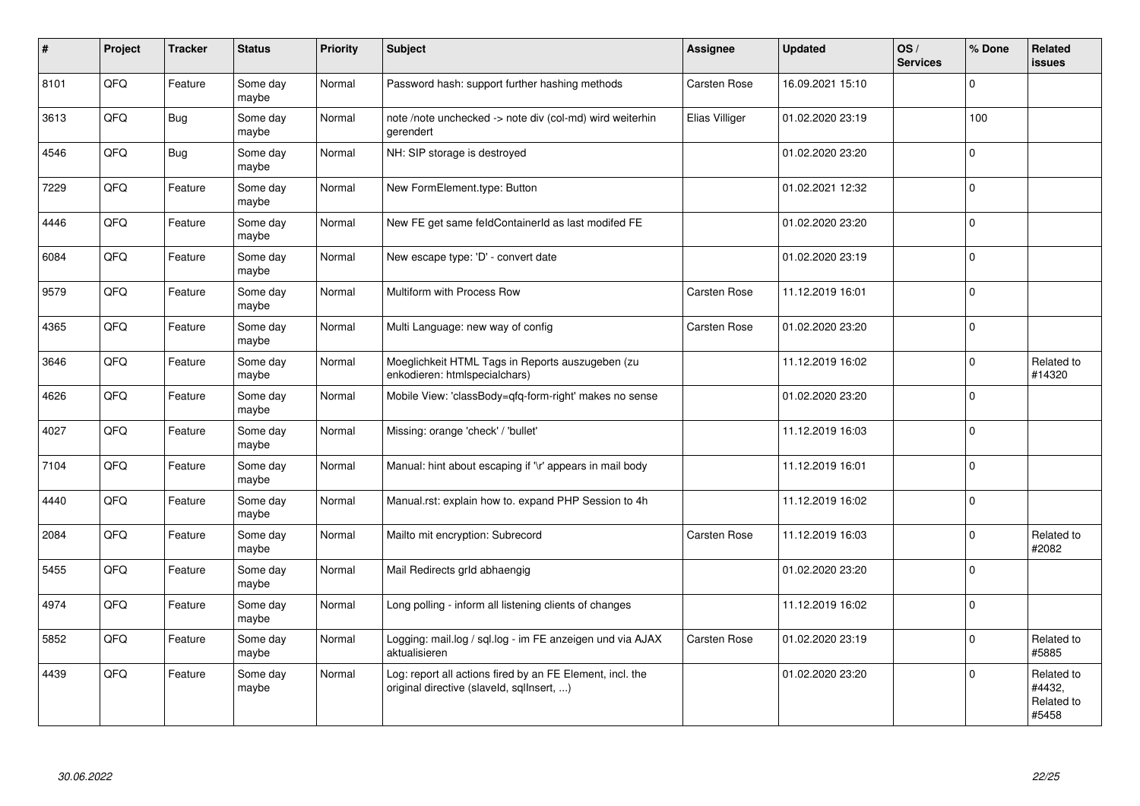| $\vert$ # | Project | <b>Tracker</b> | <b>Status</b>     | <b>Priority</b> | <b>Subject</b>                                                                                         | <b>Assignee</b> | <b>Updated</b>   | OS/<br><b>Services</b> | % Done       | <b>Related</b><br><b>issues</b>             |
|-----------|---------|----------------|-------------------|-----------------|--------------------------------------------------------------------------------------------------------|-----------------|------------------|------------------------|--------------|---------------------------------------------|
| 8101      | QFQ     | Feature        | Some day<br>maybe | Normal          | Password hash: support further hashing methods                                                         | Carsten Rose    | 16.09.2021 15:10 |                        | $\Omega$     |                                             |
| 3613      | QFQ     | <b>Bug</b>     | Some day<br>maybe | Normal          | note /note unchecked -> note div (col-md) wird weiterhin<br>gerendert                                  | Elias Villiger  | 01.02.2020 23:19 |                        | 100          |                                             |
| 4546      | QFQ     | <b>Bug</b>     | Some day<br>maybe | Normal          | NH: SIP storage is destroyed                                                                           |                 | 01.02.2020 23:20 |                        | $\mathbf 0$  |                                             |
| 7229      | QFQ     | Feature        | Some day<br>maybe | Normal          | New FormElement.type: Button                                                                           |                 | 01.02.2021 12:32 |                        | $\mathbf 0$  |                                             |
| 4446      | QFQ     | Feature        | Some day<br>maybe | Normal          | New FE get same feldContainerId as last modifed FE                                                     |                 | 01.02.2020 23:20 |                        | $\mathbf 0$  |                                             |
| 6084      | QFQ     | Feature        | Some day<br>maybe | Normal          | New escape type: 'D' - convert date                                                                    |                 | 01.02.2020 23:19 |                        | $\Omega$     |                                             |
| 9579      | QFQ     | Feature        | Some day<br>maybe | Normal          | Multiform with Process Row                                                                             | Carsten Rose    | 11.12.2019 16:01 |                        | $\Omega$     |                                             |
| 4365      | QFQ     | Feature        | Some day<br>maybe | Normal          | Multi Language: new way of config                                                                      | Carsten Rose    | 01.02.2020 23:20 |                        | $\Omega$     |                                             |
| 3646      | QFQ     | Feature        | Some day<br>maybe | Normal          | Moeglichkeit HTML Tags in Reports auszugeben (zu<br>enkodieren: htmlspecialchars)                      |                 | 11.12.2019 16:02 |                        | $\mathbf 0$  | Related to<br>#14320                        |
| 4626      | QFQ     | Feature        | Some day<br>maybe | Normal          | Mobile View: 'classBody=qfq-form-right' makes no sense                                                 |                 | 01.02.2020 23:20 |                        | $\mathbf{0}$ |                                             |
| 4027      | QFQ     | Feature        | Some day<br>maybe | Normal          | Missing: orange 'check' / 'bullet'                                                                     |                 | 11.12.2019 16:03 |                        | $\Omega$     |                                             |
| 7104      | QFQ     | Feature        | Some day<br>maybe | Normal          | Manual: hint about escaping if '\r' appears in mail body                                               |                 | 11.12.2019 16:01 |                        | $\mathbf 0$  |                                             |
| 4440      | QFQ     | Feature        | Some dav<br>maybe | Normal          | Manual.rst: explain how to. expand PHP Session to 4h                                                   |                 | 11.12.2019 16:02 |                        | $\Omega$     |                                             |
| 2084      | QFQ     | Feature        | Some day<br>maybe | Normal          | Mailto mit encryption: Subrecord                                                                       | Carsten Rose    | 11.12.2019 16:03 |                        | $\Omega$     | Related to<br>#2082                         |
| 5455      | QFQ     | Feature        | Some day<br>maybe | Normal          | Mail Redirects grld abhaengig                                                                          |                 | 01.02.2020 23:20 |                        | $\Omega$     |                                             |
| 4974      | QFQ     | Feature        | Some dav<br>maybe | Normal          | Long polling - inform all listening clients of changes                                                 |                 | 11.12.2019 16:02 |                        | $\mathbf{0}$ |                                             |
| 5852      | QFQ     | Feature        | Some day<br>maybe | Normal          | Logging: mail.log / sql.log - im FE anzeigen und via AJAX<br>aktualisieren                             | Carsten Rose    | 01.02.2020 23:19 |                        | $\mathbf 0$  | Related to<br>#5885                         |
| 4439      | QFQ     | Feature        | Some day<br>maybe | Normal          | Log: report all actions fired by an FE Element, incl. the<br>original directive (slaveld, sglInsert, ) |                 | 01.02.2020 23:20 |                        | $\Omega$     | Related to<br>#4432.<br>Related to<br>#5458 |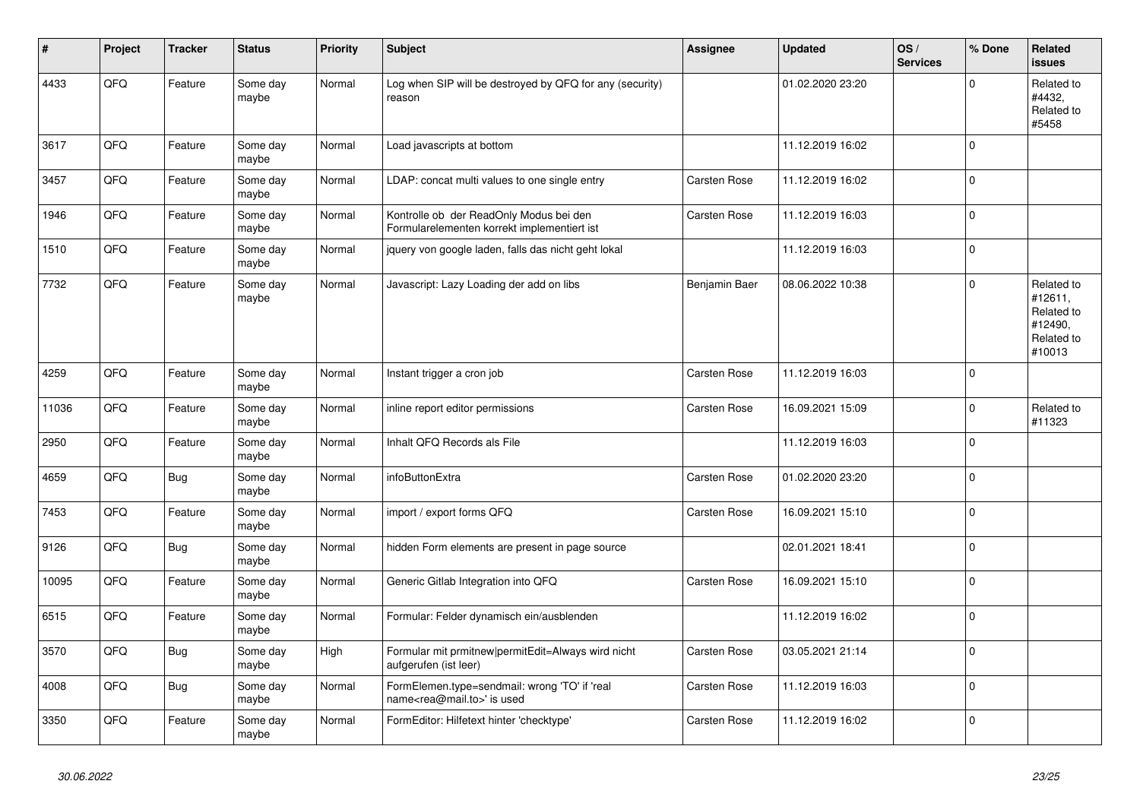| #     | Project | <b>Tracker</b> | <b>Status</b>     | <b>Priority</b> | <b>Subject</b>                                                                             | <b>Assignee</b> | <b>Updated</b>   | OS/<br><b>Services</b> | % Done       | Related<br><b>issues</b>                                               |
|-------|---------|----------------|-------------------|-----------------|--------------------------------------------------------------------------------------------|-----------------|------------------|------------------------|--------------|------------------------------------------------------------------------|
| 4433  | QFQ     | Feature        | Some day<br>maybe | Normal          | Log when SIP will be destroyed by QFQ for any (security)<br>reason                         |                 | 01.02.2020 23:20 |                        | $\Omega$     | Related to<br>#4432,<br>Related to<br>#5458                            |
| 3617  | QFQ     | Feature        | Some day<br>maybe | Normal          | Load javascripts at bottom                                                                 |                 | 11.12.2019 16:02 |                        | $\mathbf{0}$ |                                                                        |
| 3457  | QFQ     | Feature        | Some day<br>maybe | Normal          | LDAP: concat multi values to one single entry                                              | Carsten Rose    | 11.12.2019 16:02 |                        | $\mathbf 0$  |                                                                        |
| 1946  | QFQ     | Feature        | Some day<br>maybe | Normal          | Kontrolle ob der ReadOnly Modus bei den<br>Formularelementen korrekt implementiert ist     | Carsten Rose    | 11.12.2019 16:03 |                        | $\mathbf{0}$ |                                                                        |
| 1510  | QFQ     | Feature        | Some day<br>maybe | Normal          | jquery von google laden, falls das nicht geht lokal                                        |                 | 11.12.2019 16:03 |                        | $\pmb{0}$    |                                                                        |
| 7732  | QFQ     | Feature        | Some day<br>maybe | Normal          | Javascript: Lazy Loading der add on libs                                                   | Benjamin Baer   | 08.06.2022 10:38 |                        | $\Omega$     | Related to<br>#12611,<br>Related to<br>#12490,<br>Related to<br>#10013 |
| 4259  | QFQ     | Feature        | Some day<br>maybe | Normal          | Instant trigger a cron job                                                                 | Carsten Rose    | 11.12.2019 16:03 |                        | $\mathbf{0}$ |                                                                        |
| 11036 | QFQ     | Feature        | Some day<br>maybe | Normal          | inline report editor permissions                                                           | Carsten Rose    | 16.09.2021 15:09 |                        | $\mathbf 0$  | Related to<br>#11323                                                   |
| 2950  | QFQ     | Feature        | Some day<br>maybe | Normal          | Inhalt QFQ Records als File                                                                |                 | 11.12.2019 16:03 |                        | $\mathbf 0$  |                                                                        |
| 4659  | QFQ     | <b>Bug</b>     | Some day<br>maybe | Normal          | infoButtonExtra                                                                            | Carsten Rose    | 01.02.2020 23:20 |                        | $\mathbf 0$  |                                                                        |
| 7453  | QFQ     | Feature        | Some day<br>maybe | Normal          | import / export forms QFQ                                                                  | Carsten Rose    | 16.09.2021 15:10 |                        | $\mathbf{0}$ |                                                                        |
| 9126  | QFQ     | <b>Bug</b>     | Some day<br>maybe | Normal          | hidden Form elements are present in page source                                            |                 | 02.01.2021 18:41 |                        | $\Omega$     |                                                                        |
| 10095 | QFQ     | Feature        | Some day<br>maybe | Normal          | Generic Gitlab Integration into QFQ                                                        | Carsten Rose    | 16.09.2021 15:10 |                        | $\mathbf{0}$ |                                                                        |
| 6515  | QFQ     | Feature        | Some day<br>maybe | Normal          | Formular: Felder dynamisch ein/ausblenden                                                  |                 | 11.12.2019 16:02 |                        | $\mathbf{0}$ |                                                                        |
| 3570  | QFQ     | <b>Bug</b>     | Some day<br>maybe | High            | Formular mit prmitnew permitEdit=Always wird nicht<br>aufgerufen (ist leer)                | Carsten Rose    | 03.05.2021 21:14 |                        | $\mathbf 0$  |                                                                        |
| 4008  | QFQ     | <b>Bug</b>     | Some day<br>maybe | Normal          | FormElemen.type=sendmail: wrong 'TO' if 'real<br>name <rea@mail.to>' is used</rea@mail.to> | Carsten Rose    | 11.12.2019 16:03 |                        | $\mathbf{0}$ |                                                                        |
| 3350  | QFQ     | Feature        | Some day<br>maybe | Normal          | FormEditor: Hilfetext hinter 'checktype'                                                   | Carsten Rose    | 11.12.2019 16:02 |                        | $\mathbf 0$  |                                                                        |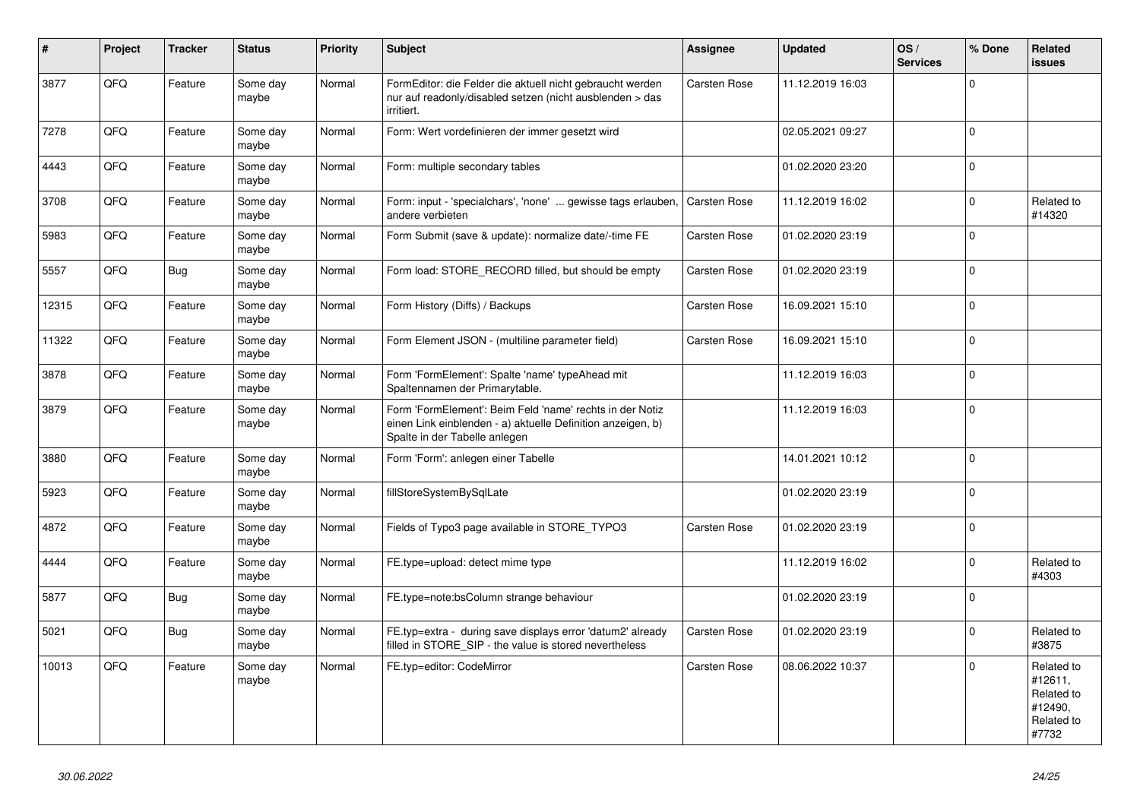| $\vert$ # | Project | <b>Tracker</b> | <b>Status</b>     | <b>Priority</b> | <b>Subject</b>                                                                                                                                           | <b>Assignee</b> | <b>Updated</b>   | OS/<br><b>Services</b> | % Done       | Related<br><b>issues</b>                                              |
|-----------|---------|----------------|-------------------|-----------------|----------------------------------------------------------------------------------------------------------------------------------------------------------|-----------------|------------------|------------------------|--------------|-----------------------------------------------------------------------|
| 3877      | QFQ     | Feature        | Some day<br>maybe | Normal          | FormEditor: die Felder die aktuell nicht gebraucht werden<br>nur auf readonly/disabled setzen (nicht ausblenden > das<br>irritiert.                      | Carsten Rose    | 11.12.2019 16:03 |                        | $\Omega$     |                                                                       |
| 7278      | QFQ     | Feature        | Some day<br>maybe | Normal          | Form: Wert vordefinieren der immer gesetzt wird                                                                                                          |                 | 02.05.2021 09:27 |                        | $\mathbf{0}$ |                                                                       |
| 4443      | QFQ     | Feature        | Some day<br>maybe | Normal          | Form: multiple secondary tables                                                                                                                          |                 | 01.02.2020 23:20 |                        | $\mathbf 0$  |                                                                       |
| 3708      | QFO     | Feature        | Some day<br>maybe | Normal          | Form: input - 'specialchars', 'none'  gewisse tags erlauben,<br>andere verbieten                                                                         | Carsten Rose    | 11.12.2019 16:02 |                        | $\pmb{0}$    | Related to<br>#14320                                                  |
| 5983      | QFQ     | Feature        | Some day<br>maybe | Normal          | Form Submit (save & update): normalize date/-time FE                                                                                                     | Carsten Rose    | 01.02.2020 23:19 |                        | $\mathbf{0}$ |                                                                       |
| 5557      | QFQ     | Bug            | Some day<br>maybe | Normal          | Form load: STORE_RECORD filled, but should be empty                                                                                                      | Carsten Rose    | 01.02.2020 23:19 |                        | $\mathbf{0}$ |                                                                       |
| 12315     | QFQ     | Feature        | Some day<br>maybe | Normal          | Form History (Diffs) / Backups                                                                                                                           | Carsten Rose    | 16.09.2021 15:10 |                        | $\pmb{0}$    |                                                                       |
| 11322     | QFQ     | Feature        | Some day<br>maybe | Normal          | Form Element JSON - (multiline parameter field)                                                                                                          | Carsten Rose    | 16.09.2021 15:10 |                        | $\pmb{0}$    |                                                                       |
| 3878      | QFQ     | Feature        | Some day<br>maybe | Normal          | Form 'FormElement': Spalte 'name' typeAhead mit<br>Spaltennamen der Primarytable.                                                                        |                 | 11.12.2019 16:03 |                        | $\pmb{0}$    |                                                                       |
| 3879      | QFQ     | Feature        | Some day<br>maybe | Normal          | Form 'FormElement': Beim Feld 'name' rechts in der Notiz<br>einen Link einblenden - a) aktuelle Definition anzeigen, b)<br>Spalte in der Tabelle anlegen |                 | 11.12.2019 16:03 |                        | $\mathbf 0$  |                                                                       |
| 3880      | QFQ     | Feature        | Some day<br>maybe | Normal          | Form 'Form': anlegen einer Tabelle                                                                                                                       |                 | 14.01.2021 10:12 |                        | $\mathbf{0}$ |                                                                       |
| 5923      | QFQ     | Feature        | Some day<br>maybe | Normal          | fillStoreSystemBySqlLate                                                                                                                                 |                 | 01.02.2020 23:19 |                        | $\pmb{0}$    |                                                                       |
| 4872      | QFQ     | Feature        | Some day<br>maybe | Normal          | Fields of Typo3 page available in STORE_TYPO3                                                                                                            | Carsten Rose    | 01.02.2020 23:19 |                        | $\pmb{0}$    |                                                                       |
| 4444      | QFQ     | Feature        | Some day<br>maybe | Normal          | FE.type=upload: detect mime type                                                                                                                         |                 | 11.12.2019 16:02 |                        | $\mathbf{0}$ | Related to<br>#4303                                                   |
| 5877      | QFQ     | Bug            | Some day<br>maybe | Normal          | FE.type=note:bsColumn strange behaviour                                                                                                                  |                 | 01.02.2020 23:19 |                        | $\mathbf 0$  |                                                                       |
| 5021      | QFQ     | <b>Bug</b>     | Some day<br>maybe | Normal          | FE.typ=extra - during save displays error 'datum2' already<br>filled in STORE SIP - the value is stored nevertheless                                     | Carsten Rose    | 01.02.2020 23:19 |                        | $\Omega$     | Related to<br>#3875                                                   |
| 10013     | QFQ     | Feature        | Some day<br>maybe | Normal          | FE.typ=editor: CodeMirror                                                                                                                                | Carsten Rose    | 08.06.2022 10:37 |                        | $\mathbf 0$  | Related to<br>#12611,<br>Related to<br>#12490,<br>Related to<br>#7732 |